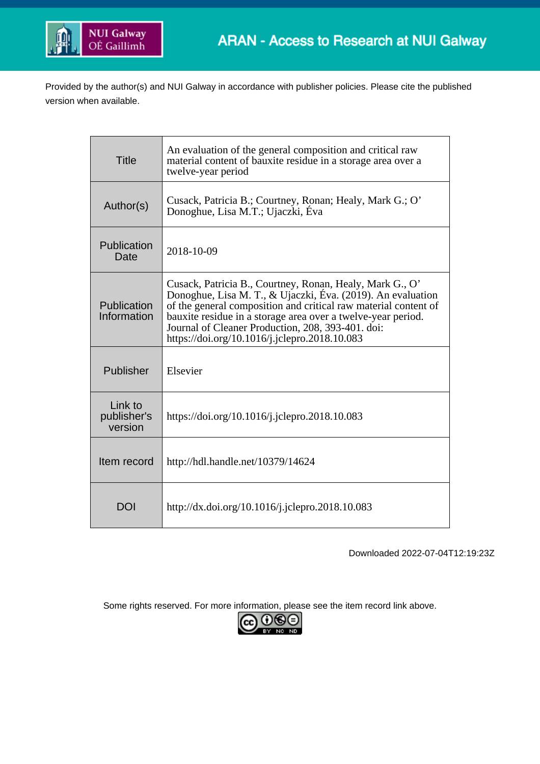

Provided by the author(s) and NUI Galway in accordance with publisher policies. Please cite the published version when available.

| Title                             | An evaluation of the general composition and critical raw<br>material content of bauxite residue in a storage area over a<br>twelve-year period                                                                                                                                                                                                                  |
|-----------------------------------|------------------------------------------------------------------------------------------------------------------------------------------------------------------------------------------------------------------------------------------------------------------------------------------------------------------------------------------------------------------|
| Author(s)                         | Cusack, Patricia B.; Courtney, Ronan; Healy, Mark G.; O'<br>Donoghue, Lisa M.T.; Ujaczki, Éva                                                                                                                                                                                                                                                                    |
| Publication<br>Date               | 2018-10-09                                                                                                                                                                                                                                                                                                                                                       |
| Publication<br>Information        | Cusack, Patricia B., Courtney, Ronan, Healy, Mark G., O'<br>Donoghue, Lisa M. T., & Ujaczki, Éva. (2019). An evaluation<br>of the general composition and critical raw material content of<br>bauxite residue in a storage area over a twelve-year period.<br>Journal of Cleaner Production, 208, 393-401. doi:<br>https://doi.org/10.1016/j.jclepro.2018.10.083 |
| Publisher                         | Elsevier                                                                                                                                                                                                                                                                                                                                                         |
| Link to<br>publisher's<br>version | https://doi.org/10.1016/j.jclepro.2018.10.083                                                                                                                                                                                                                                                                                                                    |
| Item record                       | http://hdl.handle.net/10379/14624                                                                                                                                                                                                                                                                                                                                |
| DOI                               | http://dx.doi.org/10.1016/j.jclepro.2018.10.083                                                                                                                                                                                                                                                                                                                  |

Downloaded 2022-07-04T12:19:23Z

Some rights reserved. For more information, please see the item record link above.

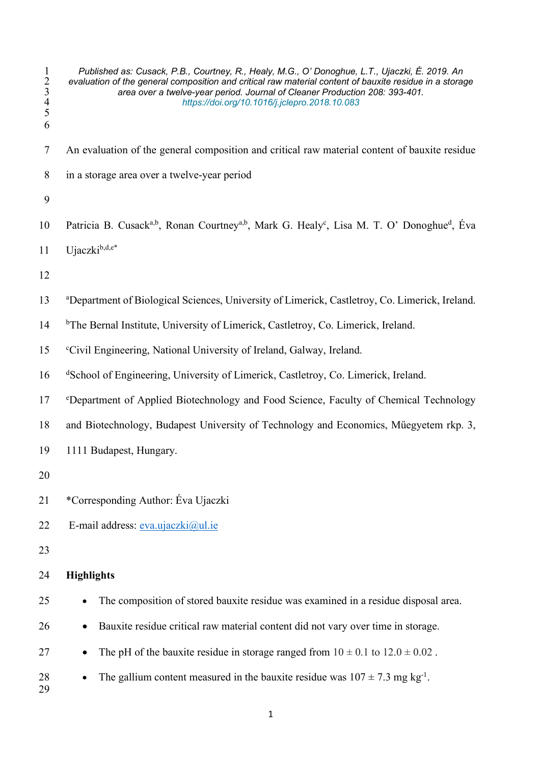- *Published as: Cusack, P.B., Courtney, R., Healy, M.G., O' Donoghue, L.T., Ujaczki, É. 2019. An evaluation of the general composition and critical raw material content of bauxite residue in a storage area over a twelve-year period. Journal of Cleaner Production 208: 393-401. https://doi.org/10.1016/j.jclepro.2018.10.083*  $\begin{array}{c} 1 \\ 2 \\ 3 \\ 4 \\ 5 \end{array}$  An evaluation of the general composition and critical raw material content of bauxite residue in a storage area over a twelve-year period 10 Patricia B. Cusack<sup>a,b</sup>, Ronan Courtney<sup>a,b</sup>, Mark G. Healy<sup>c</sup>, Lisa M. T. O' Donoghue<sup>d</sup>, Éva Ujaczki<sup>b,d,e\*</sup> <sup>a</sup> Department of Biological Sciences, University of Limerick, Castletroy, Co. Limerick, Ireland. 14 b The Bernal Institute, University of Limerick, Castletroy, Co. Limerick, Ireland. 15 Civil Engineering, National University of Ireland, Galway, Ireland. 16 d School of Engineering, University of Limerick, Castletroy, Co. Limerick, Ireland. <sup>e</sup> Department of Applied Biotechnology and Food Science, Faculty of Chemical Technology and Biotechnology, Budapest University of Technology and Economics, Műegyetem rkp. 3, 1111 Budapest, Hungary. \*Corresponding Author: Éva Ujaczki 22 E-mail address:  $eva.ujaczki@ul.ie$  **Highlights** • The composition of stored bauxite residue was examined in a residue disposal area. • Bauxite residue critical raw material content did not vary over time in storage. 27 • The pH of the bauxite residue in storage ranged from  $10 \pm 0.1$  to  $12.0 \pm 0.02$ . 28 • The gallium content measured in the bauxite residue was  $107 \pm 7.3$  mg kg<sup>-1</sup>.
-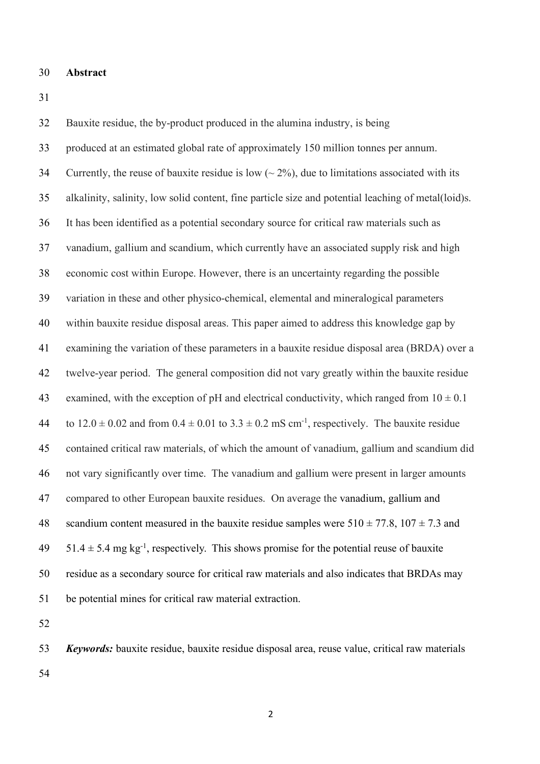### **Abstract**

 Bauxite residue, the by-product produced in the alumina industry, is being produced at an estimated global rate of approximately 150 million tonnes per annum. 34 Currently, the reuse of bauxite residue is low  $({\sim} 2\%)$ , due to limitations associated with its alkalinity, salinity, low solid content, fine particle size and potential leaching of metal(loid)s. It has been identified as a potential secondary source for critical raw materials such as vanadium, gallium and scandium, which currently have an associated supply risk and high economic cost within Europe. However, there is an uncertainty regarding the possible variation in these and other physico-chemical, elemental and mineralogical parameters within bauxite residue disposal areas. This paper aimed to address this knowledge gap by examining the variation of these parameters in a bauxite residue disposal area (BRDA) over a twelve-year period. The general composition did not vary greatly within the bauxite residue 43 examined, with the exception of pH and electrical conductivity, which ranged from  $10 \pm 0.1$ 44 to  $12.0 \pm 0.02$  and from  $0.4 \pm 0.01$  to  $3.3 \pm 0.2$  mS cm<sup>-1</sup>, respectively. The bauxite residue contained critical raw materials, of which the amount of vanadium, gallium and scandium did not vary significantly over time. The vanadium and gallium were present in larger amounts compared to other European bauxite residues. On average the vanadium, gallium and 48 scandium content measured in the bauxite residue samples were  $510 \pm 77.8$ ,  $107 \pm 7.3$  and  $51.4 \pm 5.4$  mg kg<sup>-1</sup>, respectively. This shows promise for the potential reuse of bauxite residue as a secondary source for critical raw materials and also indicates that BRDAs may be potential mines for critical raw material extraction.

 *Keywords:* bauxite residue, bauxite residue disposal area, reuse value, critical raw materials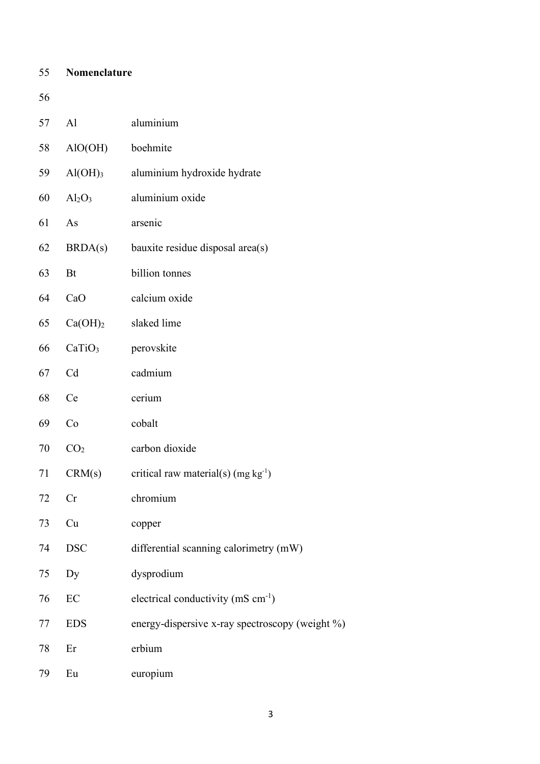| 55 | Nomenclature        |                                                 |
|----|---------------------|-------------------------------------------------|
| 56 |                     |                                                 |
| 57 | AI                  | aluminium                                       |
| 58 | AIO(OH)             | boehmite                                        |
| 59 | $Al(OH)_{3}$        | aluminium hydroxide hydrate                     |
| 60 | $Al_2O_3$           | aluminium oxide                                 |
| 61 | As                  | arsenic                                         |
| 62 | BRDA(s)             | bauxite residue disposal area(s)                |
| 63 | Bt                  | billion tonnes                                  |
| 64 | CaO                 | calcium oxide                                   |
| 65 | Ca(OH) <sub>2</sub> | slaked lime                                     |
| 66 | CaTiO <sub>3</sub>  | perovskite                                      |
| 67 | Cd                  | cadmium                                         |
| 68 | Ce                  | cerium                                          |
| 69 | Co                  | cobalt                                          |
| 70 | CO <sub>2</sub>     | carbon dioxide                                  |
| 71 | CRM(s)              | critical raw material(s) (mg $kg^{-1}$ )        |
| 72 | Cr                  | chromium                                        |
| 73 | Cu                  | copper                                          |
| 74 | <b>DSC</b>          | differential scanning calorimetry (mW)          |
| 75 | Dy                  | dysprodium                                      |
| 76 | $\rm EC$            | electrical conductivity (mS cm <sup>-1</sup> )  |
| 77 | <b>EDS</b>          | energy-dispersive x-ray spectroscopy (weight %) |
| 78 | Er                  | erbium                                          |
| 79 | Eu                  | europium                                        |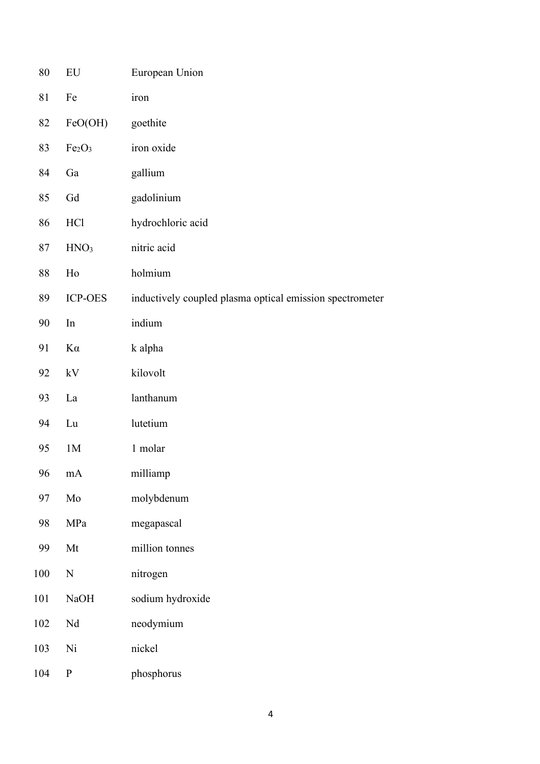| 80  | ${\rm EU}$                     | European Union                                           |
|-----|--------------------------------|----------------------------------------------------------|
| 81  | Fe                             | iron                                                     |
| 82  | FeO(OH)                        | goethite                                                 |
| 83  | Fe <sub>2</sub> O <sub>3</sub> | iron oxide                                               |
| 84  | Ga                             | gallium                                                  |
| 85  | Gd                             | gadolinium                                               |
| 86  | <b>HCl</b>                     | hydrochloric acid                                        |
| 87  | HNO <sub>3</sub>               | nitric acid                                              |
| 88  | Ho                             | holmium                                                  |
| 89  | <b>ICP-OES</b>                 | inductively coupled plasma optical emission spectrometer |
| 90  | In                             | indium                                                   |
| 91  | $K\alpha$                      | k alpha                                                  |
| 92  | kV                             | kilovolt                                                 |
| 93  | La                             | lanthanum                                                |
| 94  | Lu                             | lutetium                                                 |
| 95  | 1M                             | 1 molar                                                  |
| 96  | mA                             | milliamp                                                 |
| 97  | Mo                             | molybdenum                                               |
| 98  | MPa                            | megapascal                                               |
| 99  | Mt                             | million tonnes                                           |
| 100 | ${\bf N}$                      | nitrogen                                                 |
| 101 | NaOH                           | sodium hydroxide                                         |
| 102 | $\rm Nd$                       | neodymium                                                |
| 103 | Ni                             | nickel                                                   |
| 104 | ${\bf P}$                      | phosphorus                                               |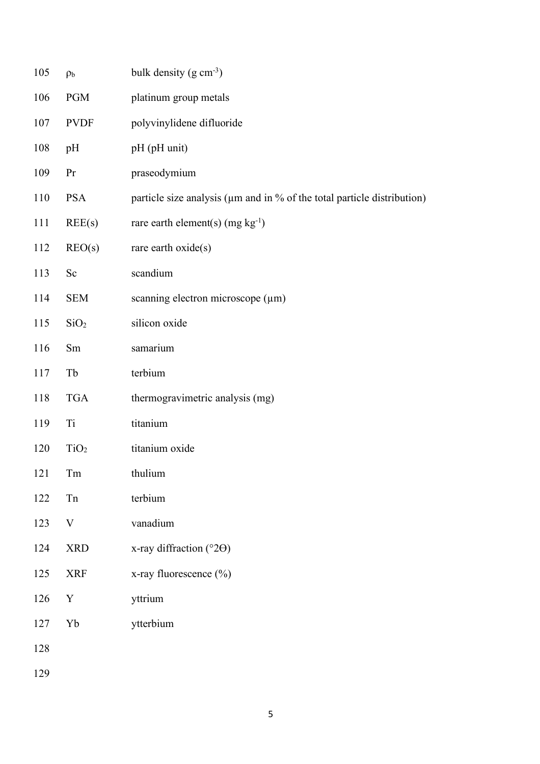| 105 | p <sub>b</sub>   | bulk density $(g \text{ cm}^{-3})$                                      |
|-----|------------------|-------------------------------------------------------------------------|
| 106 | <b>PGM</b>       | platinum group metals                                                   |
| 107 | <b>PVDF</b>      | polyvinylidene difluoride                                               |
| 108 | pH               | pH (pH unit)                                                            |
| 109 | Pr               | praseodymium                                                            |
| 110 | <b>PSA</b>       | particle size analysis (um and in % of the total particle distribution) |
| 111 | REE(s)           | rare earth element(s) (mg $kg^{-1}$ )                                   |
| 112 | REO(s)           | rare earth oxide(s)                                                     |
| 113 | Sc               | scandium                                                                |
| 114 | <b>SEM</b>       | scanning electron microscope (µm)                                       |
| 115 | SiO <sub>2</sub> | silicon oxide                                                           |
| 116 | Sm               | samarium                                                                |
| 117 | Tb               | terbium                                                                 |
| 118 | <b>TGA</b>       | thermogravimetric analysis (mg)                                         |
| 119 | Ti               | titanium                                                                |
| 120 | TiO <sub>2</sub> | titanium oxide                                                          |
| 121 | Tm               | thulium                                                                 |
| 122 | ${\rm Tn}$       | terbium                                                                 |
| 123 | $\mathbf V$      | vanadium                                                                |
| 124 | <b>XRD</b>       | x-ray diffraction ( $^{\circ}2\Theta$ )                                 |
| 125 | <b>XRF</b>       | x-ray fluorescence (%)                                                  |
| 126 | $\mathbf Y$      | yttrium                                                                 |
| 127 | ${\rm Yb}$       | ytterbium                                                               |
| 128 |                  |                                                                         |
| 129 |                  |                                                                         |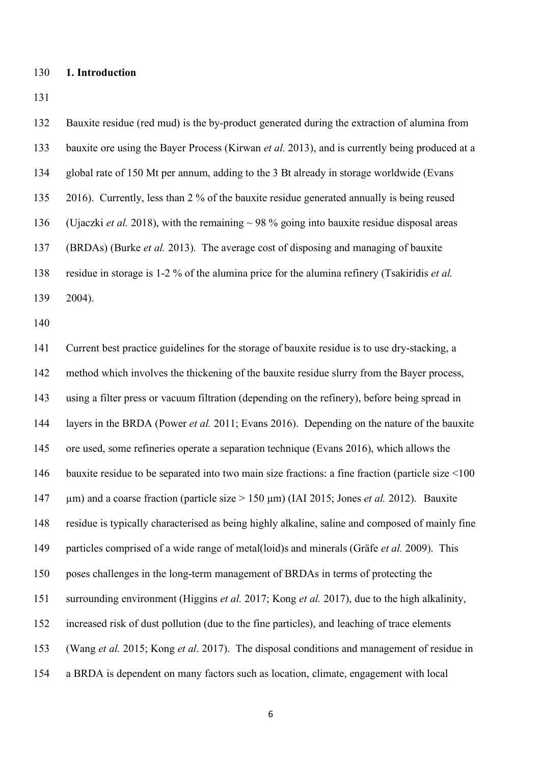# **1. Introduction**

 Bauxite residue (red mud) is the by-product generated during the extraction of alumina from bauxite ore using the Bayer Process (Kirwan *et al.* 2013), and is currently being produced at a global rate of 150 Mt per annum, adding to the 3 Bt already in storage worldwide (Evans 2016). Currently, less than 2 % of the bauxite residue generated annually is being reused (Ujaczki *et al.* 2018), with the remaining ~ 98 % going into bauxite residue disposal areas (BRDAs) (Burke *et al.* 2013). The average cost of disposing and managing of bauxite residue in storage is 1-2 % of the alumina price for the alumina refinery (Tsakiridis *et al.* 2004). Current best practice guidelines for the storage of bauxite residue is to use dry-stacking, a method which involves the thickening of the bauxite residue slurry from the Bayer process, using a filter press or vacuum filtration (depending on the refinery), before being spread in layers in the BRDA (Power *et al.* 2011; Evans 2016). Depending on the nature of the bauxite ore used, some refineries operate a separation technique (Evans 2016), which allows the 146 bauxite residue to be separated into two main size fractions: a fine fraction (particle size <100 µm) and a coarse fraction (particle size > 150 µm) (IAI 2015; Jones *et al.* 2012). Bauxite residue is typically characterised as being highly alkaline, saline and composed of mainly fine particles comprised of a wide range of metal(loid)s and minerals (Gräfe *et al.* 2009). This poses challenges in the long-term management of BRDAs in terms of protecting the surrounding environment (Higgins *et al.* 2017; Kong *et al.* 2017), due to the high alkalinity, increased risk of dust pollution (due to the fine particles), and leaching of trace elements (Wang *et al.* 2015; Kong *et al*. 2017). The disposal conditions and management of residue in a BRDA is dependent on many factors such as location, climate, engagement with local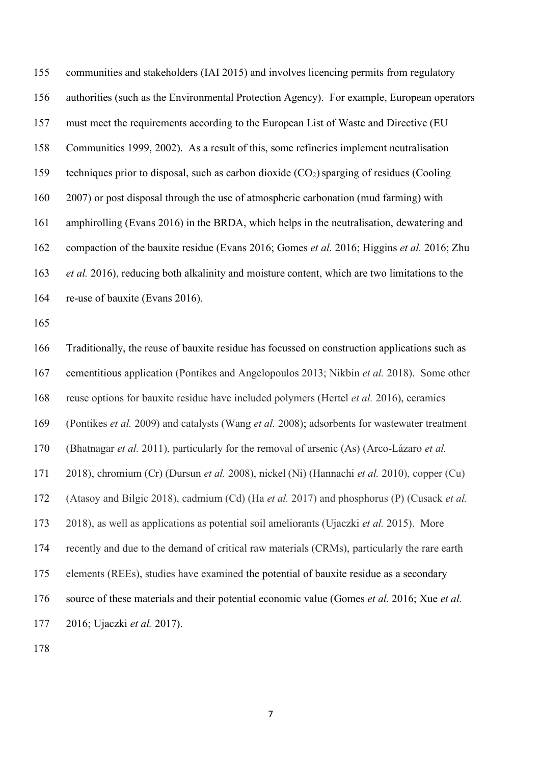communities and stakeholders (IAI 2015) and involves licencing permits from regulatory authorities (such as the Environmental Protection Agency). For example, European operators must meet the requirements according to the European List of Waste and Directive (EU Communities 1999, 2002). As a result of this, some refineries implement neutralisation 159 techniques prior to disposal, such as carbon dioxide  $(CO_2)$  sparging of residues (Cooling 2007) or post disposal through the use of atmospheric carbonation (mud farming) with amphirolling (Evans 2016) in the BRDA, which helps in the neutralisation, dewatering and compaction of the bauxite residue (Evans 2016; Gomes *et al.* 2016; Higgins *et al.* 2016; Zhu *et al.* 2016), reducing both alkalinity and moisture content, which are two limitations to the re-use of bauxite (Evans 2016).

 Traditionally, the reuse of bauxite residue has focussed on construction applications such as cementitious application (Pontikes and Angelopoulos 2013; Nikbin *et al.* 2018). Some other reuse options for bauxite residue have included polymers (Hertel *et al.* 2016), ceramics (Pontikes *et al.* 2009) and catalysts (Wang *et al.* 2008); adsorbents for wastewater treatment (Bhatnagar *et al.* 2011), particularly for the removal of arsenic (As) (Arco-Lázaro *et al.* 2018), chromium (Cr) (Dursun *et al.* 2008), nickel (Ni) (Hannachi *et al.* 2010), copper (Cu) (Atasoy and Bilgic 2018), cadmium (Cd) (Ha *et al.* 2017) and phosphorus (P) (Cusack *et al.* 2018), as well as applications as potential soil ameliorants (Ujaczki *et al.* 2015). More recently and due to the demand of critical raw materials (CRMs), particularly the rare earth elements (REEs), studies have examined the potential of bauxite residue as a secondary source of these materials and their potential economic value (Gomes *et al.* 2016; Xue *et al.* 2016; Ujaczki *et al.* 2017).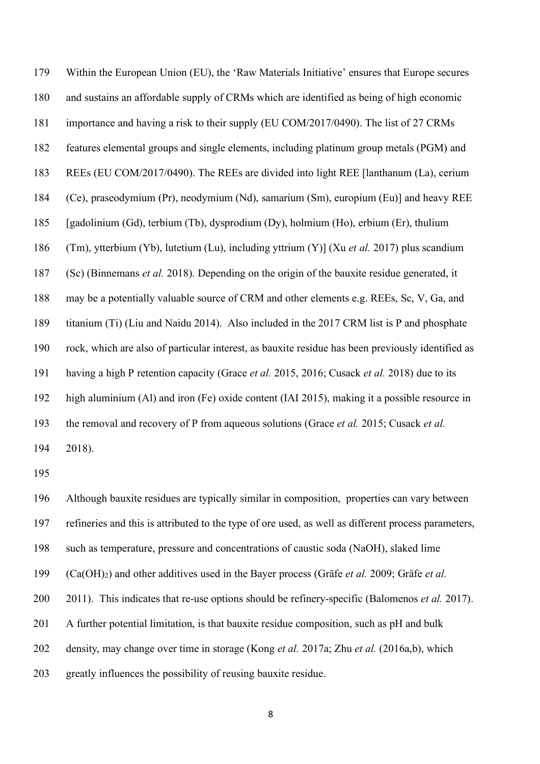Within the European Union (EU), the 'Raw Materials Initiative' ensures that Europe secures and sustains an affordable supply of CRMs which are identified as being of high economic importance and having a risk to their supply (EU COM/2017/0490). The list of 27 CRMs features elemental groups and single elements, including platinum group metals (PGM) and REEs (EU COM/2017/0490). The REEs are divided into light REE [lanthanum (La), cerium (Ce), praseodymium (Pr), neodymium (Nd), samarium (Sm), europium (Eu)] and heavy REE [gadolinium (Gd), terbium (Tb), dysprodium (Dy), holmium (Ho), erbium (Er), thulium (Tm), ytterbium (Yb), lutetium (Lu), including yttrium (Y)] (Xu *et al.* 2017) plus scandium (Sc) (Binnemans *et al.* 2018). Depending on the origin of the bauxite residue generated, it may be a potentially valuable source of CRM and other elements e.g. REEs, Sc, V, Ga, and titanium (Ti) (Liu and Naidu 2014). Also included in the 2017 CRM list is P and phosphate rock, which are also of particular interest, as bauxite residue has been previously identified as having a high P retention capacity (Grace *et al.* 2015, 2016; Cusack *et al.* 2018) due to its high aluminium (Al) and iron (Fe) oxide content (IAI 2015), making it a possible resource in the removal and recovery of P from aqueous solutions (Grace *et al.* 2015; Cusack *et al.* 2018).

 Although bauxite residues are typically similar in composition, properties can vary between refineries and this is attributed to the type of ore used, as well as different process parameters, such as temperature, pressure and concentrations of caustic soda (NaOH), slaked lime (Ca(OH)2) and other additives used in the Bayer process (Gräfe *et al.* 2009; Gräfe *et al.* 2011). This indicates that re-use options should be refinery-specific (Balomenos *et al.* 2017). A further potential limitation, is that bauxite residue composition, such as pH and bulk density, may change over time in storage (Kong *et al.* 2017a; Zhu *et al.* (2016a,b), which greatly influences the possibility of reusing bauxite residue.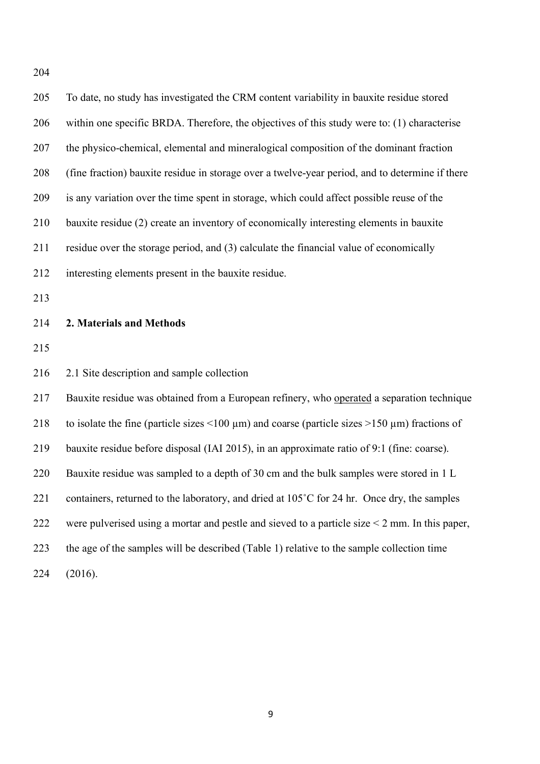| 205 | To date, no study has investigated the CRM content variability in bauxite residue stored                          |
|-----|-------------------------------------------------------------------------------------------------------------------|
| 206 | within one specific BRDA. Therefore, the objectives of this study were to: (1) characterise                       |
| 207 | the physico-chemical, elemental and mineralogical composition of the dominant fraction                            |
| 208 | (fine fraction) bauxite residue in storage over a twelve-year period, and to determine if there                   |
| 209 | is any variation over the time spent in storage, which could affect possible reuse of the                         |
| 210 | bauxite residue (2) create an inventory of economically interesting elements in bauxite                           |
| 211 | residue over the storage period, and (3) calculate the financial value of economically                            |
| 212 | interesting elements present in the bauxite residue.                                                              |
| 213 |                                                                                                                   |
| 214 | 2. Materials and Methods                                                                                          |
|     |                                                                                                                   |
| 215 |                                                                                                                   |
| 216 | 2.1 Site description and sample collection                                                                        |
| 217 | Bauxite residue was obtained from a European refinery, who operated a separation technique                        |
| 218 | to isolate the fine (particle sizes $\leq 100 \mu m$ ) and coarse (particle sizes $\geq 150 \mu m$ ) fractions of |
| 219 | bauxite residue before disposal (IAI 2015), in an approximate ratio of 9:1 (fine: coarse).                        |
| 220 | Bauxite residue was sampled to a depth of 30 cm and the bulk samples were stored in 1 L                           |
| 221 | containers, returned to the laboratory, and dried at 105°C for 24 hr. Once dry, the samples                       |
| 222 | were pulverised using a mortar and pestle and sieved to a particle size $\leq$ 2 mm. In this paper,               |
| 223 | the age of the samples will be described (Table 1) relative to the sample collection time                         |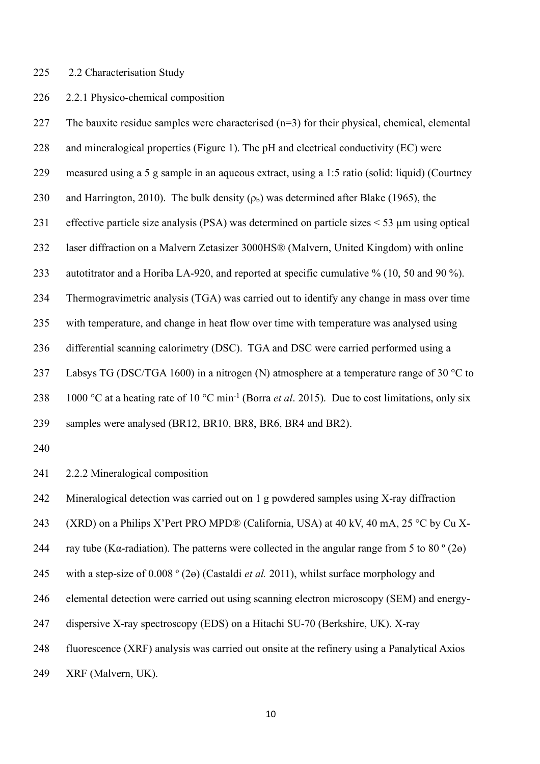### 2.2 Characterisation Study

# 2.2.1 Physico-chemical composition

227 The bauxite residue samples were characterised  $(n=3)$  for their physical, chemical, elemental and mineralogical properties (Figure 1). The pH and electrical conductivity (EC) were measured using a 5 g sample in an aqueous extract, using a 1:5 ratio (solid: liquid) (Courtney 230 and Harrington, 2010). The bulk density  $(\rho_b)$  was determined after Blake (1965), the effective particle size analysis (PSA) was determined on particle sizes < 53 µm using optical laser diffraction on a Malvern Zetasizer 3000HS® (Malvern, United Kingdom) with online autotitrator and a Horiba LA-920, and reported at specific cumulative % (10, 50 and 90 %). Thermogravimetric analysis (TGA) was carried out to identify any change in mass over time with temperature, and change in heat flow over time with temperature was analysed using differential scanning calorimetry (DSC). TGA and DSC were carried performed using a 237 Labsys TG (DSC/TGA 1600) in a nitrogen (N) atmosphere at a temperature range of 30  $^{\circ}$ C to 238 1000 °C at a heating rate of 10 °C min<sup>-1</sup> (Borra *et al.* 2015). Due to cost limitations, only six samples were analysed (BR12, BR10, BR8, BR6, BR4 and BR2).

2.2.2 Mineralogical composition

Mineralogical detection was carried out on 1 g powdered samples using X-ray diffraction

243 (XRD) on a Philips X'Pert PRO MPD® (California, USA) at 40 kV, 40 mA, 25 °C by Cu X-

244 ray tube (K $\alpha$ -radiation). The patterns were collected in the angular range from 5 to 80  $\degree$  (2 $\Theta$ )

with a step-size of 0.008 º (2ɵ) (Castaldi *et al.* 2011), whilst surface morphology and

elemental detection were carried out using scanning electron microscopy (SEM) and energy-

dispersive X-ray spectroscopy (EDS) on a Hitachi SU-70 (Berkshire, UK). X-ray

fluorescence (XRF) analysis was carried out onsite at the refinery using a Panalytical Axios

XRF (Malvern, UK).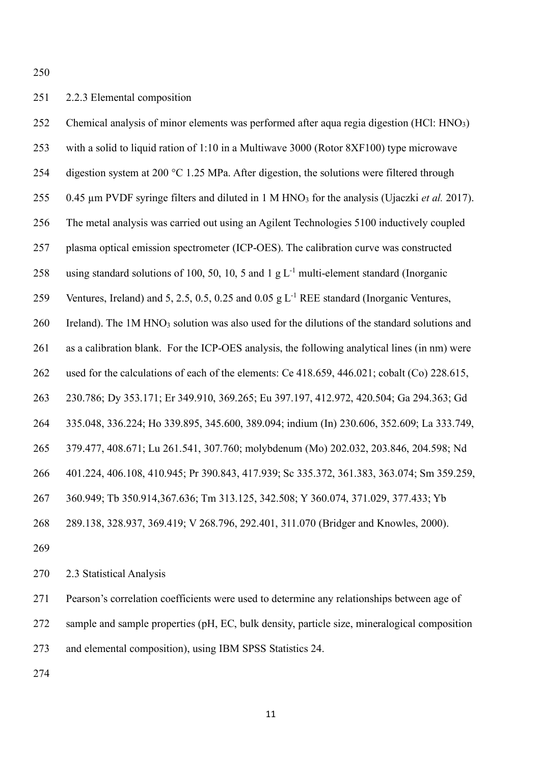# 2.2.3 Elemental composition

 Chemical analysis of minor elements was performed after aqua regia digestion (HCl: HNO3) with a solid to liquid ration of 1:10 in a Multiwave 3000 (Rotor 8XF100) type microwave 254 digestion system at 200 °C 1.25 MPa. After digestion, the solutions were filtered through 255 0.45 µm PVDF syringe filters and diluted in 1 M HNO<sub>3</sub> for the analysis (Ujaczki *et al.* 2017). The metal analysis was carried out using an Agilent Technologies 5100 inductively coupled plasma optical emission spectrometer (ICP-OES). The calibration curve was constructed 258 using standard solutions of 100, 50, 10, 5 and 1 g  $L^{-1}$  multi-element standard (Inorganic 259 Ventures, Ireland) and 5, 2.5, 0.5, 0.25 and 0.05 g  $L^{-1}$  REE standard (Inorganic Ventures, 260 Ireland). The 1M HNO<sub>3</sub> solution was also used for the dilutions of the standard solutions and as a calibration blank. For the ICP-OES analysis, the following analytical lines (in nm) were used for the calculations of each of the elements: Ce 418.659, 446.021; cobalt (Co) 228.615, 230.786; Dy 353.171; Er 349.910, 369.265; Eu 397.197, 412.972, 420.504; Ga 294.363; Gd 335.048, 336.224; Ho 339.895, 345.600, 389.094; indium (In) 230.606, 352.609; La 333.749, 379.477, 408.671; Lu 261.541, 307.760; molybdenum (Mo) 202.032, 203.846, 204.598; Nd 401.224, 406.108, 410.945; Pr 390.843, 417.939; Sc 335.372, 361.383, 363.074; Sm 359.259, 360.949; Tb 350.914,367.636; Tm 313.125, 342.508; Y 360.074, 371.029, 377.433; Yb 289.138, 328.937, 369.419; V 268.796, 292.401, 311.070 (Bridger and Knowles, 2000). 

2.3 Statistical Analysis

Pearson's correlation coefficients were used to determine any relationships between age of

sample and sample properties (pH, EC, bulk density, particle size, mineralogical composition

and elemental composition), using IBM SPSS Statistics 24.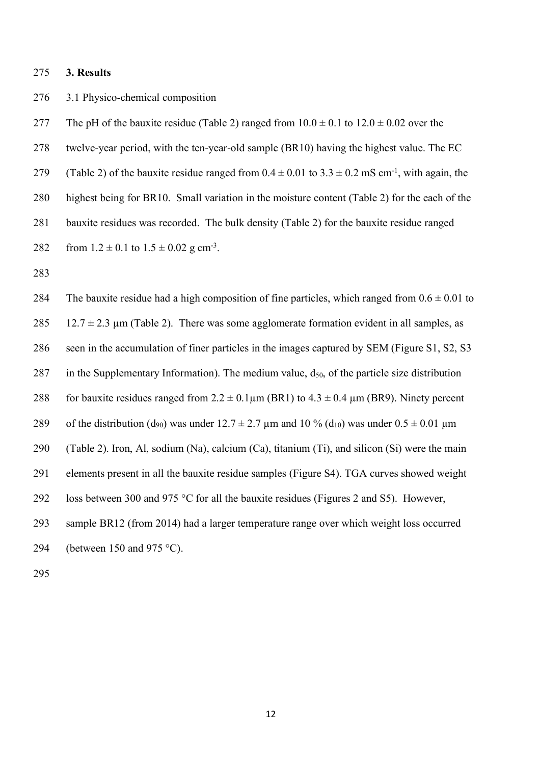#### **3. Results**

# 3.1 Physico-chemical composition

277 The pH of the bauxite residue (Table 2) ranged from  $10.0 \pm 0.1$  to  $12.0 \pm 0.02$  over the twelve-year period, with the ten-year-old sample (BR10) having the highest value. The EC (Table 2) of the bauxite residue ranged from  $0.4 \pm 0.01$  to  $3.3 \pm 0.2$  mS cm<sup>-1</sup>, with again, the highest being for BR10. Small variation in the moisture content (Table 2) for the each of the bauxite residues was recorded. The bulk density (Table 2) for the bauxite residue ranged 282 from  $1.2 \pm 0.1$  to  $1.5 \pm 0.02$  g cm<sup>-3</sup>.

284 The bauxite residue had a high composition of fine particles, which ranged from  $0.6 \pm 0.01$  to 285 12.7  $\pm$  2.3 µm (Table 2). There was some agglomerate formation evident in all samples, as seen in the accumulation of finer particles in the images captured by SEM (Figure S1, S2, S3 287 in the Supplementary Information). The medium value,  $d_{50}$ , of the particle size distribution 288 for bauxite residues ranged from  $2.2 \pm 0.1 \mu m$  (BR1) to  $4.3 \pm 0.4 \mu m$  (BR9). Ninety percent 289 of the distribution (d<sub>90</sub>) was under  $12.7 \pm 2.7$  µm and  $10\%$  (d<sub>10</sub>) was under  $0.5 \pm 0.01$  µm (Table 2). Iron, Al, sodium (Na), calcium (Ca), titanium (Ti), and silicon (Si) were the main elements present in all the bauxite residue samples (Figure S4). TGA curves showed weight loss between 300 and 975 °C for all the bauxite residues (Figures 2 and S5). However, sample BR12 (from 2014) had a larger temperature range over which weight loss occurred (between 150 and 975 °C).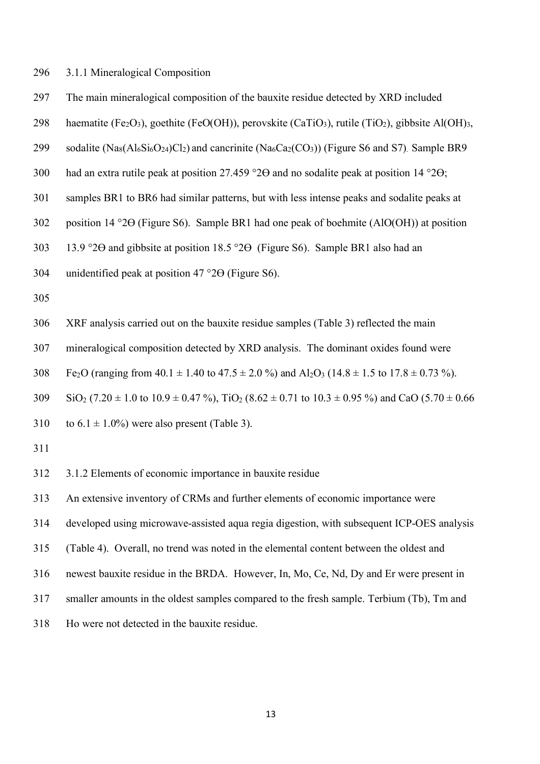3.1.1 Mineralogical Composition

The main mineralogical composition of the bauxite residue detected by XRD included

298 haematite (Fe<sub>2</sub>O<sub>3</sub>), goethite (FeO(OH)), perovskite (CaTiO<sub>3</sub>), rutile (TiO<sub>2</sub>), gibbsite Al(OH)<sub>3</sub>,

- 299 sodalite  $(Na_8(Al_6Si_6O_{24})Cl_2)$  and cancrinite  $(Na_6Ca_2(CO_3))$  (Figure S6 and S7). Sample BR9
- had an extra rutile peak at position 27.459 °2ϴ and no sodalite peak at position 14 °2ϴ;
- samples BR1 to BR6 had similar patterns, but with less intense peaks and sodalite peaks at
- position 14 °2ϴ (Figure S6). Sample BR1 had one peak of boehmite (AlO(OH)) at position
- 13.9 °2ϴ and gibbsite at position 18.5 °2ϴ (Figure S6). Sample BR1 also had an

unidentified peak at position 47 °2ϴ (Figure S6).

- 
- XRF analysis carried out on the bauxite residue samples (Table 3) reflected the main

mineralogical composition detected by XRD analysis. The dominant oxides found were

308 Fe<sub>2</sub>O (ranging from  $40.1 \pm 1.40$  to  $47.5 \pm 2.0$  %) and  $Al_2O_3$  ( $14.8 \pm 1.5$  to  $17.8 \pm 0.73$  %).

SiO<sub>2</sub> (7.20  $\pm$  1.0 to 10.9  $\pm$  0.47 %), TiO<sub>2</sub> (8.62  $\pm$  0.71 to 10.3  $\pm$  0.95 %) and CaO (5.70  $\pm$  0.66

- 310 to  $6.1 \pm 1.0\%$ ) were also present (Table 3).
- 

3.1.2 Elements of economic importance in bauxite residue

An extensive inventory of CRMs and further elements of economic importance were

developed using microwave-assisted aqua regia digestion, with subsequent ICP-OES analysis

(Table 4). Overall, no trend was noted in the elemental content between the oldest and

newest bauxite residue in the BRDA. However, In, Mo, Ce, Nd, Dy and Er were present in

smaller amounts in the oldest samples compared to the fresh sample. Terbium (Tb), Tm and

Ho were not detected in the bauxite residue.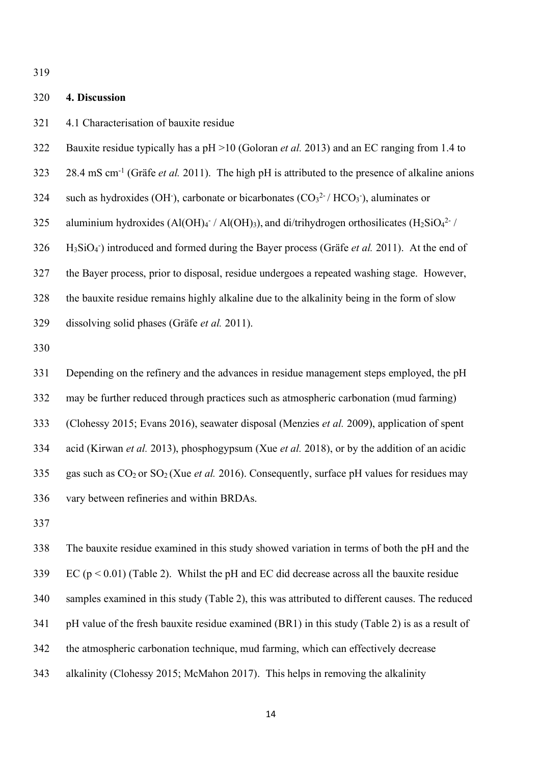### **4. Discussion**

- 4.1 Characterisation of bauxite residue
- Bauxite residue typically has a pH >10 (Goloran *et al.* 2013) and an EC ranging from 1.4 to
- 28.4 mS cm<sup>-1</sup> (Gräfe *et al.* 2011). The high pH is attributed to the presence of alkaline anions
- 324 such as hydroxides (OH), carbonate or bicarbonates ( $CO<sub>3</sub><sup>2</sup>$  / HCO<sub>3</sub>), aluminates or
- 325 aluminium hydroxides (Al(OH)4 / Al(OH)3), and di/trihydrogen orthosilicates (H<sub>2</sub>SiO<sub>4</sub><sup>2-</sup>/
- 326 H<sub>3</sub>SiO<sub>4</sub><sup>-</sup>) introduced and formed during the Bayer process (Gräfe *et al.* 2011). At the end of
- the Bayer process, prior to disposal, residue undergoes a repeated washing stage. However,
- the bauxite residue remains highly alkaline due to the alkalinity being in the form of slow
- dissolving solid phases (Gräfe *et al.* 2011).
- 

 Depending on the refinery and the advances in residue management steps employed, the pH may be further reduced through practices such as atmospheric carbonation (mud farming) (Clohessy 2015; Evans 2016), seawater disposal (Menzies *et al.* 2009), application of spent acid (Kirwan *et al.* 2013), phosphogypsum (Xue *et al.* 2018), or by the addition of an acidic 335 gas such as  $CO<sub>2</sub>$  or  $SO<sub>2</sub>$  (Xue *et al.* 2016). Consequently, surface pH values for residues may vary between refineries and within BRDAs.

 The bauxite residue examined in this study showed variation in terms of both the pH and the EC (p < 0.01) (Table 2). Whilst the pH and EC did decrease across all the bauxite residue samples examined in this study (Table 2), this was attributed to different causes. The reduced 341 pH value of the fresh bauxite residue examined (BR1) in this study (Table 2) is as a result of the atmospheric carbonation technique, mud farming, which can effectively decrease alkalinity (Clohessy 2015; McMahon 2017). This helps in removing the alkalinity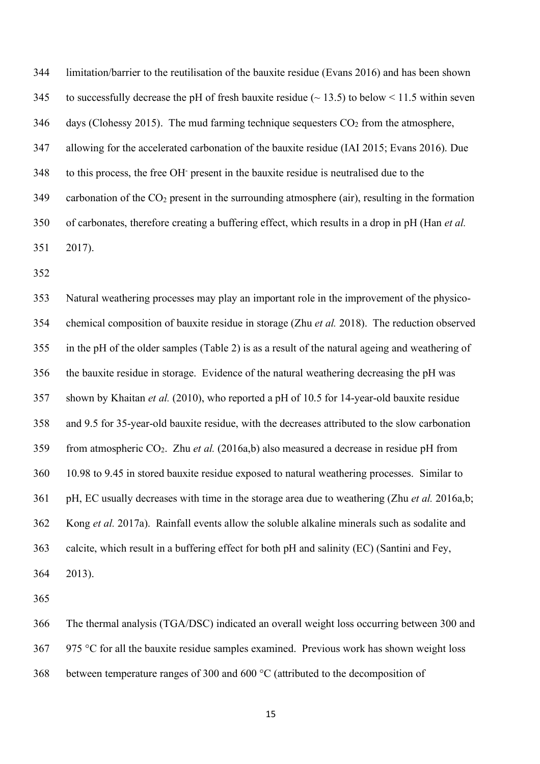limitation/barrier to the reutilisation of the bauxite residue (Evans 2016) and has been shown 345 to successfully decrease the pH of fresh bauxite residue ( $\sim$  13.5) to below  $\le$  11.5 within seven days (Clohessy 2015). The mud farming technique sequesters  $CO<sub>2</sub>$  from the atmosphere, allowing for the accelerated carbonation of the bauxite residue (IAI 2015; Evans 2016). Due 348 to this process, the free OH present in the bauxite residue is neutralised due to the 349 carbonation of the  $CO<sub>2</sub>$  present in the surrounding atmosphere (air), resulting in the formation of carbonates, therefore creating a buffering effect, which results in a drop in pH (Han *et al.* 2017).

 Natural weathering processes may play an important role in the improvement of the physico- chemical composition of bauxite residue in storage (Zhu *et al.* 2018). The reduction observed in the pH of the older samples (Table 2) is as a result of the natural ageing and weathering of the bauxite residue in storage. Evidence of the natural weathering decreasing the pH was shown by Khaitan *et al.* (2010), who reported a pH of 10.5 for 14-year-old bauxite residue and 9.5 for 35-year-old bauxite residue, with the decreases attributed to the slow carbonation from atmospheric CO2. Zhu *et al.* (2016a,b) also measured a decrease in residue pH from 10.98 to 9.45 in stored bauxite residue exposed to natural weathering processes. Similar to pH, EC usually decreases with time in the storage area due to weathering (Zhu *et al.* 2016a,b; Kong *et al.* 2017a). Rainfall events allow the soluble alkaline minerals such as sodalite and calcite, which result in a buffering effect for both pH and salinity (EC) (Santini and Fey, 2013).

 The thermal analysis (TGA/DSC) indicated an overall weight loss occurring between 300 and 367 975 °C for all the bauxite residue samples examined. Previous work has shown weight loss

between temperature ranges of 300 and 600 °C (attributed to the decomposition of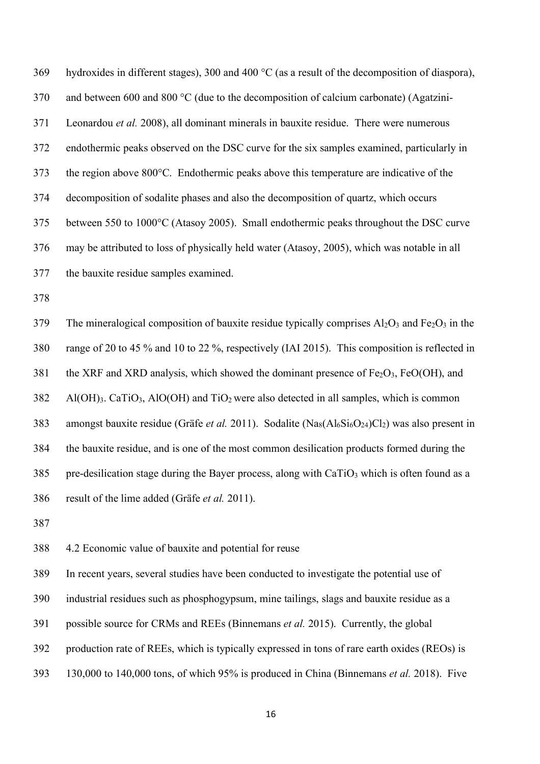hydroxides in different stages), 300 and 400 °C (as a result of the decomposition of diaspora), and between 600 and 800 °C (due to the decomposition of calcium carbonate) (Agatzini- Leonardou *et al.* 2008), all dominant minerals in bauxite residue. There were numerous endothermic peaks observed on the DSC curve for the six samples examined, particularly in the region above 800°C. Endothermic peaks above this temperature are indicative of the decomposition of sodalite phases and also the decomposition of quartz, which occurs between 550 to 1000°C (Atasoy 2005). Small endothermic peaks throughout the DSC curve may be attributed to loss of physically held water (Atasoy, 2005), which was notable in all the bauxite residue samples examined.

379 The mineralogical composition of bauxite residue typically comprises  $A<sub>1</sub>Q<sub>3</sub>$  and Fe<sub>2</sub>O<sub>3</sub> in the range of 20 to 45 % and 10 to 22 %, respectively (IAI 2015). This composition is reflected in 381 the XRF and XRD analysis, which showed the dominant presence of  $Fe<sub>2</sub>O<sub>3</sub>$ ,  $FeO(OH)$ , and Al(OH)3. CaTiO3, AlO(OH) and TiO2 were also detected in all samples, which is common 383 amongst bauxite residue (Gräfe *et al.* 2011). Sodalite (Na<sub>8</sub>(Al<sub>6</sub>Si<sub>6</sub>O<sub>24</sub>)Cl<sub>2</sub>) was also present in the bauxite residue, and is one of the most common desilication products formed during the 385 pre-desilication stage during the Bayer process, along with  $CaTiO<sub>3</sub>$  which is often found as a result of the lime added (Gräfe *et al.* 2011).

4.2 Economic value of bauxite and potential for reuse

In recent years, several studies have been conducted to investigate the potential use of

industrial residues such as phosphogypsum, mine tailings, slags and bauxite residue as a

- possible source for CRMs and REEs (Binnemans *et al.* 2015). Currently, the global
- production rate of REEs, which is typically expressed in tons of rare earth oxides (REOs) is
- 130,000 to 140,000 tons, of which 95% is produced in China (Binnemans *et al.* 2018). Five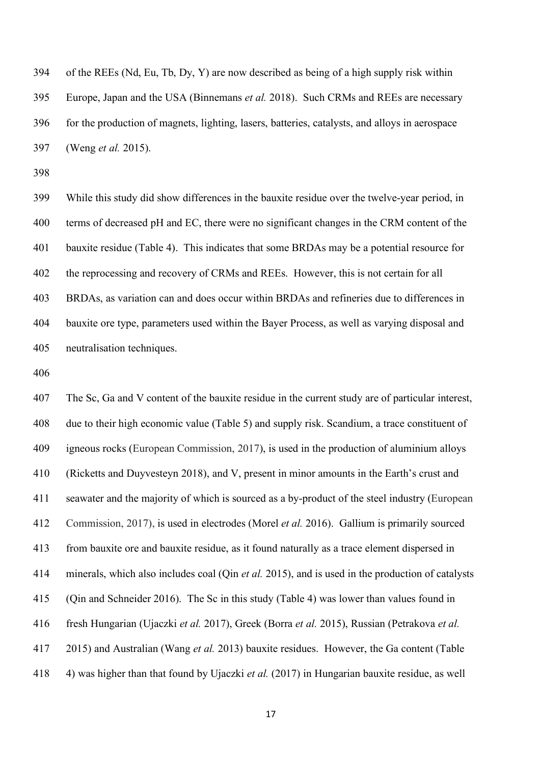of the REEs (Nd, Eu, Tb, Dy, Y) are now described as being of a high supply risk within Europe, Japan and the USA (Binnemans *et al.* 2018). Such CRMs and REEs are necessary for the production of magnets, lighting, lasers, batteries, catalysts, and alloys in aerospace (Weng *et al.* 2015).

 While this study did show differences in the bauxite residue over the twelve-year period, in terms of decreased pH and EC, there were no significant changes in the CRM content of the bauxite residue (Table 4). This indicates that some BRDAs may be a potential resource for the reprocessing and recovery of CRMs and REEs. However, this is not certain for all BRDAs, as variation can and does occur within BRDAs and refineries due to differences in bauxite ore type, parameters used within the Bayer Process, as well as varying disposal and neutralisation techniques.

 The Sc, Ga and V content of the bauxite residue in the current study are of particular interest, due to their high economic value (Table 5) and supply risk. Scandium, a trace constituent of igneous rocks (European Commission, 2017), is used in the production of aluminium alloys (Ricketts and Duyvesteyn 2018), and V, present in minor amounts in the Earth's crust and seawater and the majority of which is sourced as a by-product of the steel industry (European Commission, 2017), is used in electrodes (Morel *et al.* 2016). Gallium is primarily sourced from bauxite ore and bauxite residue, as it found naturally as a trace element dispersed in minerals, which also includes coal (Qin *et al.* 2015), and is used in the production of catalysts (Qin and Schneider 2016). The Sc in this study (Table 4) was lower than values found in fresh Hungarian (Ujaczki *et al.* 2017), Greek (Borra *et al.* 2015), Russian (Petrakova *et al.* 2015) and Australian (Wang *et al.* 2013) bauxite residues. However, the Ga content (Table 4) was higher than that found by Ujaczki *et al.* (2017) in Hungarian bauxite residue, as well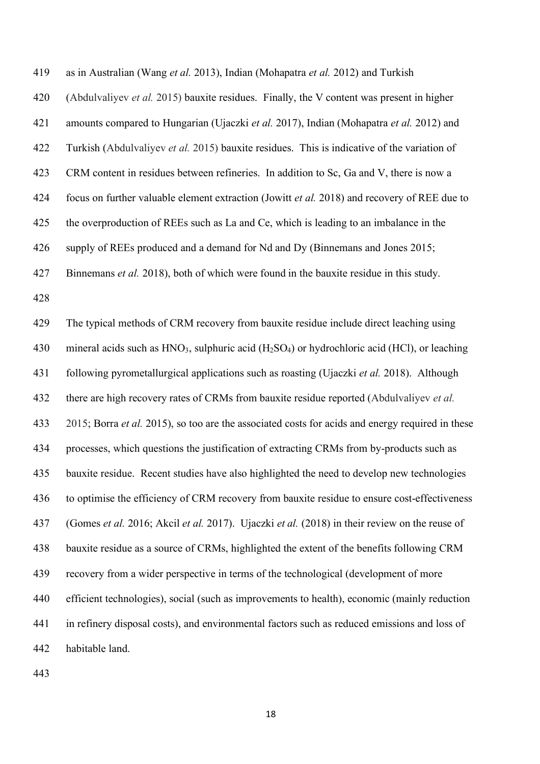as in Australian (Wang *et al.* 2013), Indian (Mohapatra *et al.* 2012) and Turkish (Abdulvaliyev *et al.* 2015) bauxite residues. Finally, the V content was present in higher amounts compared to Hungarian (Ujaczki *et al.* 2017), Indian (Mohapatra *et al.* 2012) and Turkish (Abdulvaliyev *et al.* 2015) bauxite residues. This is indicative of the variation of CRM content in residues between refineries. In addition to Sc, Ga and V, there is now a focus on further valuable element extraction (Jowitt *et al.* 2018) and recovery of REE due to the overproduction of REEs such as La and Ce, which is leading to an imbalance in the supply of REEs produced and a demand for Nd and Dy (Binnemans and Jones 2015; Binnemans *et al.* 2018), both of which were found in the bauxite residue in this study. 

 The typical methods of CRM recovery from bauxite residue include direct leaching using 430 mineral acids such as  $HNO<sub>3</sub>$ , sulphuric acid (H<sub>2</sub>SO<sub>4</sub>) or hydrochloric acid (HCl), or leaching following pyrometallurgical applications such as roasting (Ujaczki *et al.* 2018). Although there are high recovery rates of CRMs from bauxite residue reported (Abdulvaliyev *et al.* 2015; Borra *et al.* 2015), so too are the associated costs for acids and energy required in these processes, which questions the justification of extracting CRMs from by-products such as bauxite residue. Recent studies have also highlighted the need to develop new technologies to optimise the efficiency of CRM recovery from bauxite residue to ensure cost-effectiveness (Gomes *et al.* 2016; Akcil *et al.* 2017). Ujaczki *et al.* (2018) in their review on the reuse of bauxite residue as a source of CRMs, highlighted the extent of the benefits following CRM recovery from a wider perspective in terms of the technological (development of more efficient technologies), social (such as improvements to health), economic (mainly reduction in refinery disposal costs), and environmental factors such as reduced emissions and loss of habitable land.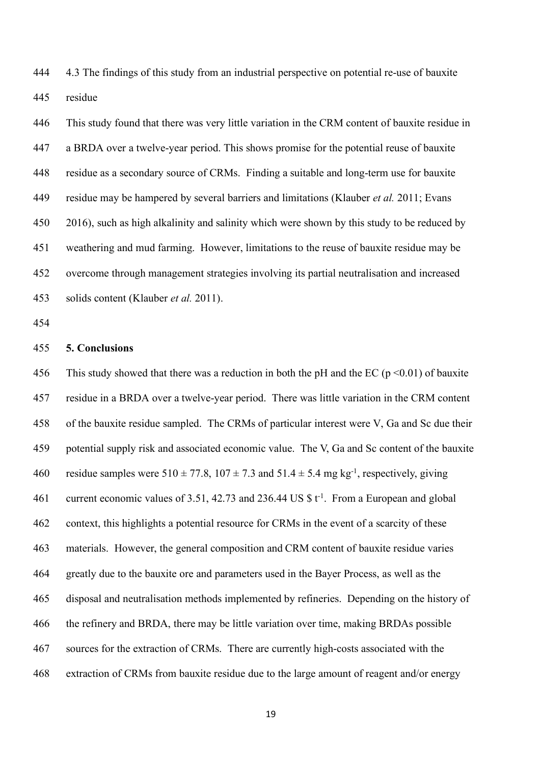4.3 The findings of this study from an industrial perspective on potential re-use of bauxite residue

 This study found that there was very little variation in the CRM content of bauxite residue in a BRDA over a twelve-year period. This shows promise for the potential reuse of bauxite residue as a secondary source of CRMs. Finding a suitable and long-term use for bauxite residue may be hampered by several barriers and limitations (Klauber *et al.* 2011; Evans 2016), such as high alkalinity and salinity which were shown by this study to be reduced by weathering and mud farming. However, limitations to the reuse of bauxite residue may be overcome through management strategies involving its partial neutralisation and increased solids content (Klauber *et al.* 2011).

# **5. Conclusions**

456 This study showed that there was a reduction in both the pH and the EC ( $p \le 0.01$ ) of bauxite residue in a BRDA over a twelve-year period. There was little variation in the CRM content of the bauxite residue sampled. The CRMs of particular interest were V, Ga and Sc due their potential supply risk and associated economic value. The V, Ga and Sc content of the bauxite 460 residue samples were  $510 \pm 77.8$ ,  $107 \pm 7.3$  and  $51.4 \pm 5.4$  mg kg<sup>-1</sup>, respectively, giving 461 current economic values of 3.51, 42.73 and 236.44 US  $\mathcal{F}t^1$ . From a European and global context, this highlights a potential resource for CRMs in the event of a scarcity of these materials. However, the general composition and CRM content of bauxite residue varies greatly due to the bauxite ore and parameters used in the Bayer Process, as well as the disposal and neutralisation methods implemented by refineries. Depending on the history of the refinery and BRDA, there may be little variation over time, making BRDAs possible sources for the extraction of CRMs. There are currently high-costs associated with the extraction of CRMs from bauxite residue due to the large amount of reagent and/or energy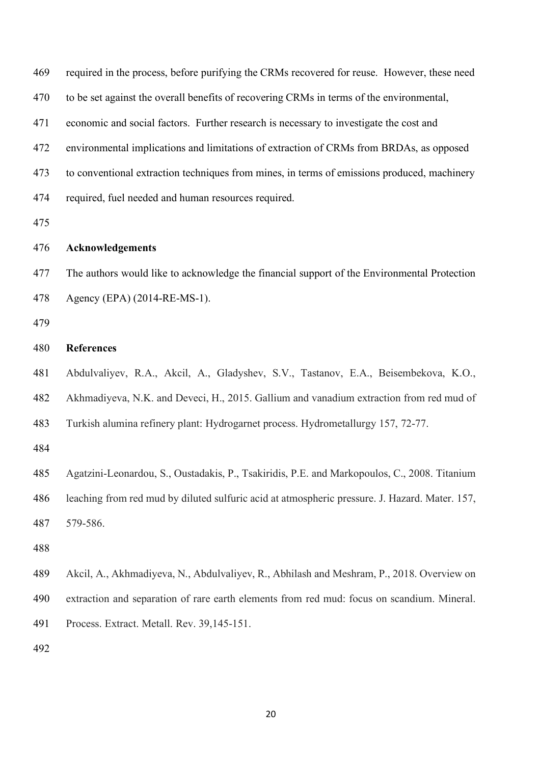required in the process, before purifying the CRMs recovered for reuse. However, these need to be set against the overall benefits of recovering CRMs in terms of the environmental, economic and social factors. Further research is necessary to investigate the cost and environmental implications and limitations of extraction of CRMs from BRDAs, as opposed to conventional extraction techniques from mines, in terms of emissions produced, machinery required, fuel needed and human resources required. **Acknowledgements** The authors would like to acknowledge the financial support of the Environmental Protection Agency (EPA) (2014-RE-MS-1). **References** Abdulvaliyev, R.A., Akcil, A., Gladyshev, S.V., Tastanov, E.A., Beisembekova, K.O., Akhmadiyeva, N.K. and Deveci, H., 2015. Gallium and vanadium extraction from red mud of Turkish alumina refinery plant: Hydrogarnet process. Hydrometallurgy 157, 72-77. Agatzini-Leonardou, S., Oustadakis, P., Tsakiridis, P.E. and Markopoulos, C., 2008. Titanium leaching from red mud by diluted sulfuric acid at atmospheric pressure. J. Hazard. Mater. 157, 579-586. Akcil, A., Akhmadiyeva, N., Abdulvaliyev, R., Abhilash and Meshram, P., 2018. Overview on extraction and separation of rare earth elements from red mud: focus on scandium. Mineral. Process. Extract. Metall. Rev. 39,145-151.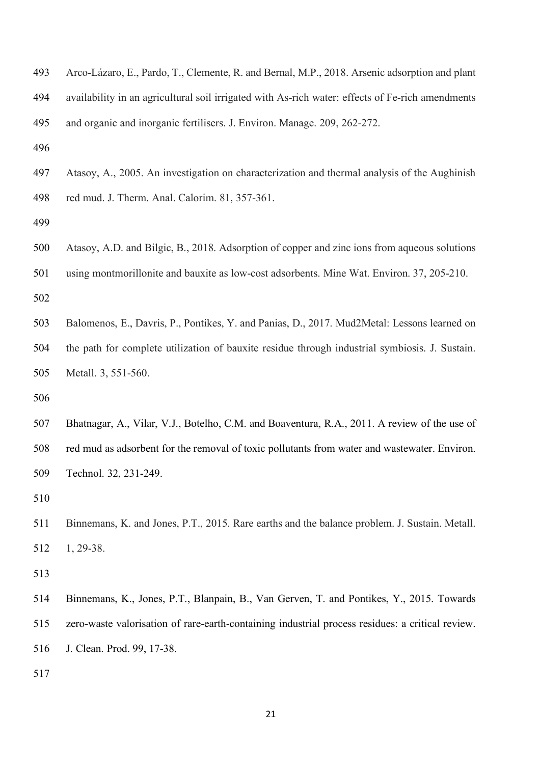- Arco-Lázaro, E., Pardo, T., Clemente, R. and Bernal, M.P., 2018. Arsenic adsorption and plant availability in an agricultural soil irrigated with As-rich water: effects of Fe-rich amendments and organic and inorganic fertilisers. J. Environ. Manage. 209, 262-272.
- 
- Atasoy, A., 2005. An investigation on characterization and thermal analysis of the Aughinish red mud. J. Therm. Anal. Calorim. 81, 357-361.
- 
- Atasoy, A.D. and Bilgic, B., 2018. Adsorption of copper and zinc ions from aqueous solutions using montmorillonite and bauxite as low-cost adsorbents. Mine Wat. Environ. 37, 205-210.
- Balomenos, E., Davris, P., Pontikes, Y. and Panias, D., 2017. Mud2Metal: Lessons learned on the path for complete utilization of bauxite residue through industrial symbiosis. J. Sustain. Metall. 3, 551-560.
- 
- Bhatnagar, A., Vilar, V.J., Botelho, C.M. and Boaventura, R.A., 2011. A review of the use of red mud as adsorbent for the removal of toxic pollutants from water and wastewater. Environ. Technol. 32, 231-249.

 Binnemans, K. and Jones, P.T., 2015. Rare earths and the balance problem. J. Sustain. Metall. 1, 29-38.

- Binnemans, K., Jones, P.T., Blanpain, B., Van Gerven, T. and Pontikes, Y., 2015. Towards zero-waste valorisation of rare-earth-containing industrial process residues: a critical review.
- J. Clean. Prod. 99, 17-38.
-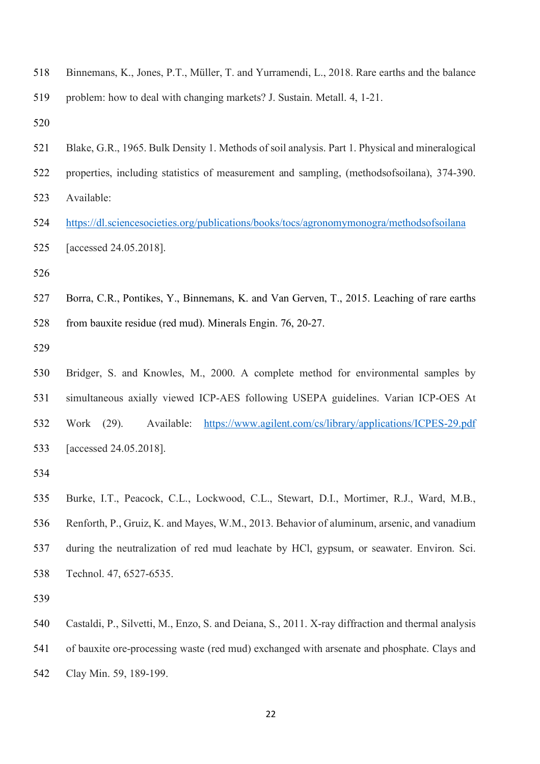- Binnemans, K., Jones, P.T., Müller, T. and Yurramendi, L., 2018. Rare earths and the balance problem: how to deal with changing markets? J. Sustain. Metall. 4, 1-21.
- 
- Blake, G.R., 1965. Bulk Density 1. Methods of soil analysis. Part 1. Physical and mineralogical
- properties, including statistics of measurement and sampling, (methodsofsoilana), 374-390.
- Available:
- https://dl.sciencesocieties.org/publications/books/tocs/agronomymonogra/methodsofsoilana [accessed 24.05.2018].
- 
- Borra, C.R., Pontikes, Y., Binnemans, K. and Van Gerven, T., 2015. Leaching of rare earths from bauxite residue (red mud). Minerals Engin. 76, 20-27.
- 
- Bridger, S. and Knowles, M., 2000. A complete method for environmental samples by simultaneous axially viewed ICP-AES following USEPA guidelines. Varian ICP-OES At Work (29). Available: https://www.agilent.com/cs/library/applications/ICPES-29.pdf [accessed 24.05.2018].
- 
- Burke, I.T., Peacock, C.L., Lockwood, C.L., Stewart, D.I., Mortimer, R.J., Ward, M.B., Renforth, P., Gruiz, K. and Mayes, W.M., 2013. Behavior of aluminum, arsenic, and vanadium during the neutralization of red mud leachate by HCl, gypsum, or seawater. Environ. Sci. Technol. 47, 6527-6535.
- 
- Castaldi, P., Silvetti, M., Enzo, S. and Deiana, S., 2011. X-ray diffraction and thermal analysis of bauxite ore-processing waste (red mud) exchanged with arsenate and phosphate. Clays and Clay Min. 59, 189-199.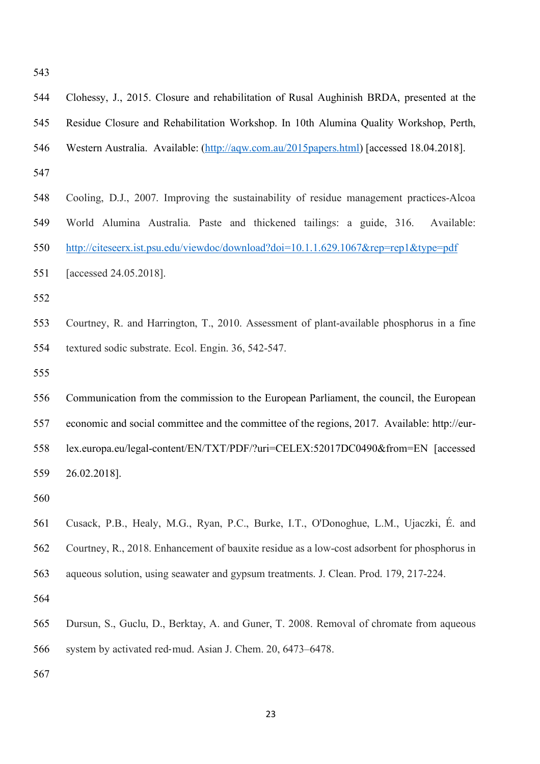| ×<br>۰.<br>v<br>× | ۰.<br>× |
|-------------------|---------|
|                   |         |

| 544 | Clohessy, J., 2015. Closure and rehabilitation of Rusal Aughinish BRDA, presented at the     |
|-----|----------------------------------------------------------------------------------------------|
| 545 | Residue Closure and Rehabilitation Workshop. In 10th Alumina Quality Workshop, Perth,        |
| 546 | Western Australia. Available: (http://aqw.com.au/2015papers.html) [accessed 18.04.2018].     |
| 547 |                                                                                              |
| 548 | Cooling, D.J., 2007. Improving the sustainability of residue management practices-Alcoa      |
| 549 | World Alumina Australia. Paste and thickened tailings: a guide, 316.<br>Available:           |
| 550 | http://citeseerx.ist.psu.edu/viewdoc/download?doi=10.1.1.629.1067&rep=rep1&type=pdf          |
| 551 | [accessed 24.05.2018].                                                                       |
| 552 |                                                                                              |
| 553 | Courtney, R. and Harrington, T., 2010. Assessment of plant-available phosphorus in a fine    |
| 554 | textured sodic substrate. Ecol. Engin. 36, 542-547.                                          |
| 555 |                                                                                              |
| 556 | Communication from the commission to the European Parliament, the council, the European      |
|     |                                                                                              |
| 557 | economic and social committee and the committee of the regions, 2017. Available: http://eur- |
| 558 | lex.europa.eu/legal-content/EN/TXT/PDF/?uri=CELEX:52017DC0490&from=EN [accessed]             |
| 559 | 26.02.2018].                                                                                 |
| 560 |                                                                                              |
| 561 | Cusack, P.B., Healy, M.G., Ryan, P.C., Burke, I.T., O'Donoghue, L.M., Ujaczki, É. and        |
| 562 | Courtney, R., 2018. Enhancement of bauxite residue as a low-cost adsorbent for phosphorus in |
| 563 | aqueous solution, using seawater and gypsum treatments. J. Clean. Prod. 179, 217-224.        |
| 564 |                                                                                              |
| 565 | Dursun, S., Guclu, D., Berktay, A. and Guner, T. 2008. Removal of chromate from aqueous      |
| 566 | system by activated red-mud. Asian J. Chem. 20, 6473–6478.                                   |
| 567 |                                                                                              |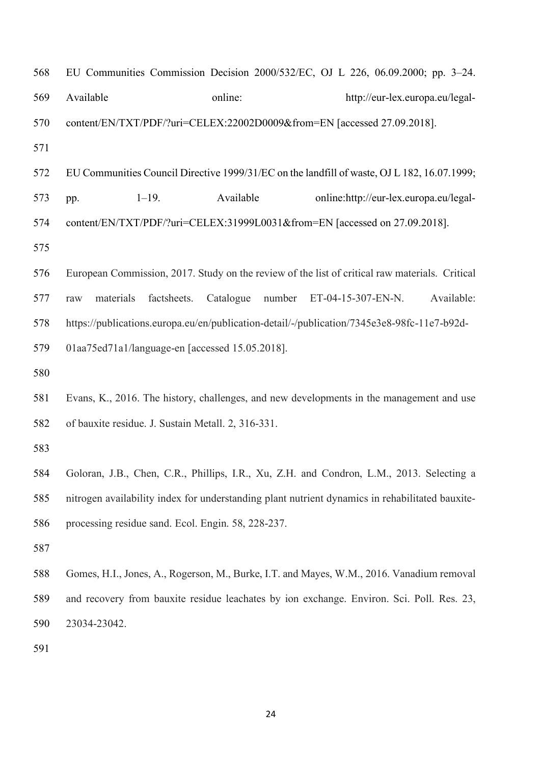| 568 |                                                                            |                     | EU Communities Commission Decision 2000/532/EC, OJ L 226, 06.09.2000; pp. 3–24.                 |
|-----|----------------------------------------------------------------------------|---------------------|-------------------------------------------------------------------------------------------------|
| 569 | Available                                                                  | online:             | http://eur-lex.europa.eu/legal-                                                                 |
| 570 | content/EN/TXT/PDF/?uri=CELEX:22002D0009&from=EN [accessed 27.09.2018].    |                     |                                                                                                 |
| 571 |                                                                            |                     |                                                                                                 |
| 572 |                                                                            |                     | EU Communities Council Directive 1999/31/EC on the landfill of waste, OJ L 182, 16.07.1999;     |
| 573 | $1 - 19$ .<br>pp.                                                          | Available           | online:http://eur-lex.europa.eu/legal-                                                          |
| 574 | content/EN/TXT/PDF/?uri=CELEX:31999L0031&from=EN [accessed on 27.09.2018]. |                     |                                                                                                 |
| 575 |                                                                            |                     |                                                                                                 |
| 576 |                                                                            |                     | European Commission, 2017. Study on the review of the list of critical raw materials. Critical  |
| 577 | materials<br>factsheets.<br>raw                                            | Catalogue<br>number | Available:<br>ET-04-15-307-EN-N.                                                                |
| 578 |                                                                            |                     | https://publications.europa.eu/en/publication-detail/-/publication/7345e3e8-98fc-11e7-b92d-     |
| 579 | 01aa75ed71a1/language-en [accessed 15.05.2018].                            |                     |                                                                                                 |
| 580 |                                                                            |                     |                                                                                                 |
| 581 |                                                                            |                     | Evans, K., 2016. The history, challenges, and new developments in the management and use        |
| 582 | of bauxite residue. J. Sustain Metall. 2, 316-331.                         |                     |                                                                                                 |
| 583 |                                                                            |                     |                                                                                                 |
| 584 |                                                                            |                     | Goloran, J.B., Chen, C.R., Phillips, I.R., Xu, Z.H. and Condron, L.M., 2013. Selecting a        |
| 585 |                                                                            |                     | nitrogen availability index for understanding plant nutrient dynamics in rehabilitated bauxite- |
| 586 | processing residue sand. Ecol. Engin. 58, 228-237.                         |                     |                                                                                                 |
| 587 |                                                                            |                     |                                                                                                 |
| 588 |                                                                            |                     | Gomes, H.I., Jones, A., Rogerson, M., Burke, I.T. and Mayes, W.M., 2016. Vanadium removal       |
| 589 |                                                                            |                     | and recovery from bauxite residue leachates by ion exchange. Environ. Sci. Poll. Res. 23,       |
| 590 | 23034-23042.                                                               |                     |                                                                                                 |
| 591 |                                                                            |                     |                                                                                                 |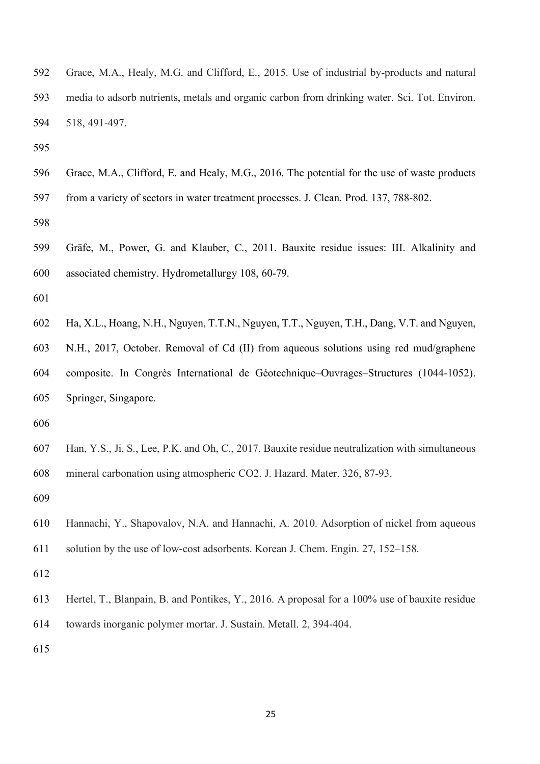| 592 | Grace, M.A., Healy, M.G. and Clifford, E., 2015. Use of industrial by-products and natural   |
|-----|----------------------------------------------------------------------------------------------|
| 593 | media to adsorb nutrients, metals and organic carbon from drinking water. Sci. Tot. Environ. |
| 594 | 518, 491-497.                                                                                |

- 
- Grace, M.A., Clifford, E. and Healy, M.G., 2016. The potential for the use of waste products from a variety of sectors in water treatment processes. J. Clean. Prod. 137, 788-802.
- 
- Gräfe, M., Power, G. and Klauber, C., 2011. Bauxite residue issues: III. Alkalinity and associated chemistry. Hydrometallurgy 108, 60-79.
- 
- Ha, X.L., Hoang, N.H., Nguyen, T.T.N., Nguyen, T.T., Nguyen, T.H., Dang, V.T. and Nguyen, N.H., 2017, October. Removal of Cd (II) from aqueous solutions using red mud/graphene composite. In Congrès International de Géotechnique–Ouvrages–Structures (1044-1052). Springer, Singapore.
- 
- Han, Y.S., Ji, S., Lee, P.K. and Oh, C., 2017. Bauxite residue neutralization with simultaneous mineral carbonation using atmospheric CO2. J. Hazard. Mater. 326, 87-93.
- 
- Hannachi, Y., Shapovalov, N.A. and Hannachi, A. 2010. Adsorption of nickel from aqueous
- solution by the use of low-cost adsorbents. Korean J. Chem. Engin. 27, 152–158.
- 
- Hertel, T., Blanpain, B. and Pontikes, Y., 2016. A proposal for a 100% use of bauxite residue towards inorganic polymer mortar. J. Sustain. Metall. 2, 394-404.
-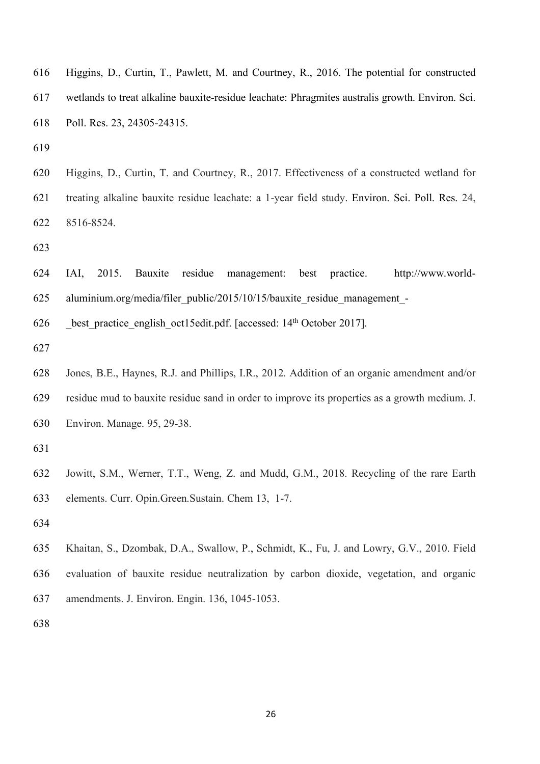- Higgins, D., Curtin, T., Pawlett, M. and Courtney, R., 2016. The potential for constructed wetlands to treat alkaline bauxite-residue leachate: Phragmites australis growth. Environ. Sci. Poll. Res. 23, 24305-24315.
- 
- Higgins, D., Curtin, T. and Courtney, R., 2017. Effectiveness of a constructed wetland for treating alkaline bauxite residue leachate: a 1-year field study. Environ. Sci. Poll. Res. 24, 8516-8524.

 IAI, 2015. Bauxite residue management: best practice. http://www.world-aluminium.org/media/filer\_public/2015/10/15/bauxite\_residue\_management\_-

best practice english oct15edit.pdf. [accessed:  $14<sup>th</sup>$  October 2017].

 Jones, B.E., Haynes, R.J. and Phillips, I.R., 2012. Addition of an organic amendment and/or residue mud to bauxite residue sand in order to improve its properties as a growth medium. J. Environ. Manage. 95, 29-38.

- Jowitt, S.M., Werner, T.T., Weng, Z. and Mudd, G.M., 2018. Recycling of the rare Earth elements. Curr. Opin.Green.Sustain. Chem 13, 1-7.
- 
- Khaitan, S., Dzombak, D.A., Swallow, P., Schmidt, K., Fu, J. and Lowry, G.V., 2010. Field evaluation of bauxite residue neutralization by carbon dioxide, vegetation, and organic amendments. J. Environ. Engin. 136, 1045-1053.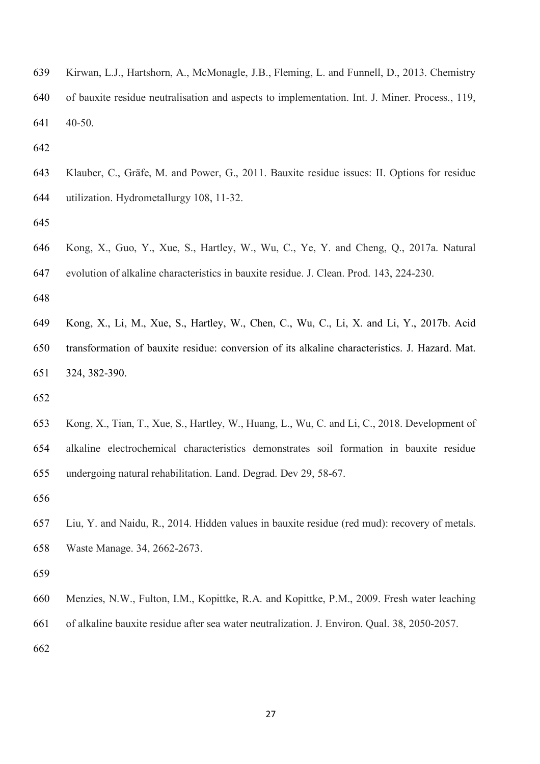| 639 | Kirwan, L.J., Hartshorn, A., McMonagle, J.B., Fleming, L. and Funnell, D., 2013. Chemistry     |
|-----|------------------------------------------------------------------------------------------------|
| 640 | of bauxite residue neutralisation and aspects to implementation. Int. J. Miner. Process., 119, |
| 641 | 40-50                                                                                          |

- 
- Klauber, C., Gräfe, M. and Power, G., 2011. Bauxite residue issues: II. Options for residue utilization. Hydrometallurgy 108, 11-32.
- 
- Kong, X., Guo, Y., Xue, S., Hartley, W., Wu, C., Ye, Y. and Cheng, Q., 2017a. Natural evolution of alkaline characteristics in bauxite residue. J. Clean. Prod. 143, 224-230.
- 
- Kong, X., Li, M., Xue, S., Hartley, W., Chen, C., Wu, C., Li, X. and Li, Y., 2017b. Acid transformation of bauxite residue: conversion of its alkaline characteristics. J. Hazard. Mat. 324, 382-390.
- 
- Kong, X., Tian, T., Xue, S., Hartley, W., Huang, L., Wu, C. and Li, C., 2018. Development of alkaline electrochemical characteristics demonstrates soil formation in bauxite residue undergoing natural rehabilitation. Land. Degrad. Dev 29, 58-67.
- 
- Liu, Y. and Naidu, R., 2014. Hidden values in bauxite residue (red mud): recovery of metals. Waste Manage. 34, 2662-2673.
- 
- Menzies, N.W., Fulton, I.M., Kopittke, R.A. and Kopittke, P.M., 2009. Fresh water leaching
- of alkaline bauxite residue after sea water neutralization. J. Environ. Qual. 38, 2050-2057.
-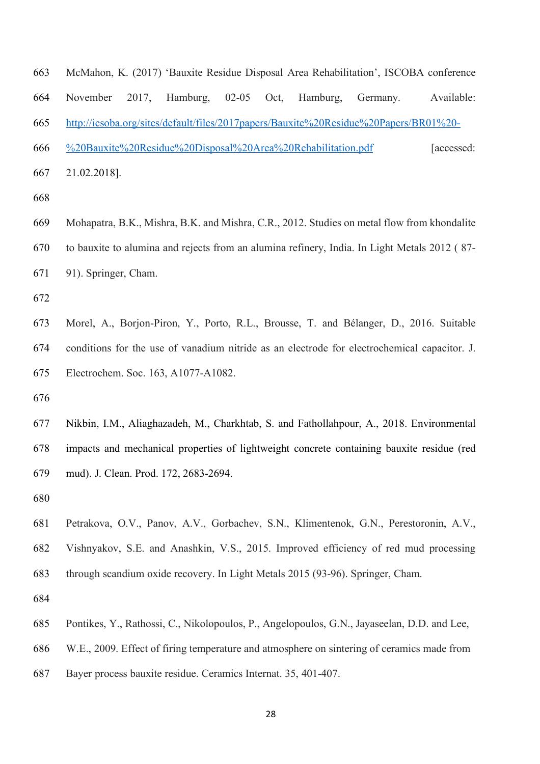McMahon, K. (2017) 'Bauxite Residue Disposal Area Rehabilitation', ISCOBA conference November 2017, Hamburg, 02-05 Oct, Hamburg, Germany. Available: http://icsoba.org/sites/default/files/2017papers/Bauxite%20Residue%20Papers/BR01%20- %20Bauxite%20Residue%20Disposal%20Area%20Rehabilitation.pdf [accessed: 21.02.2018].

 Mohapatra, B.K., Mishra, B.K. and Mishra, C.R., 2012. Studies on metal flow from khondalite to bauxite to alumina and rejects from an alumina refinery, India. In Light Metals 2012 ( 87- 91). Springer, Cham.

 Morel, A., Borjon-Piron, Y., Porto, R.L., Brousse, T. and Bélanger, D., 2016. Suitable conditions for the use of vanadium nitride as an electrode for electrochemical capacitor. J. Electrochem. Soc. 163, A1077-A1082.

 Nikbin, I.M., Aliaghazadeh, M., Charkhtab, S. and Fathollahpour, A., 2018. Environmental impacts and mechanical properties of lightweight concrete containing bauxite residue (red mud). J. Clean. Prod. 172, 2683-2694.

 Petrakova, O.V., Panov, A.V., Gorbachev, S.N., Klimentenok, G.N., Perestoronin, A.V., Vishnyakov, S.E. and Anashkin, V.S., 2015. Improved efficiency of red mud processing through scandium oxide recovery. In Light Metals 2015 (93-96). Springer, Cham.

- Pontikes, Y., Rathossi, C., Nikolopoulos, P., Angelopoulos, G.N., Jayaseelan, D.D. and Lee,
- W.E., 2009. Effect of firing temperature and atmosphere on sintering of ceramics made from
- Bayer process bauxite residue. Ceramics Internat. 35, 401-407.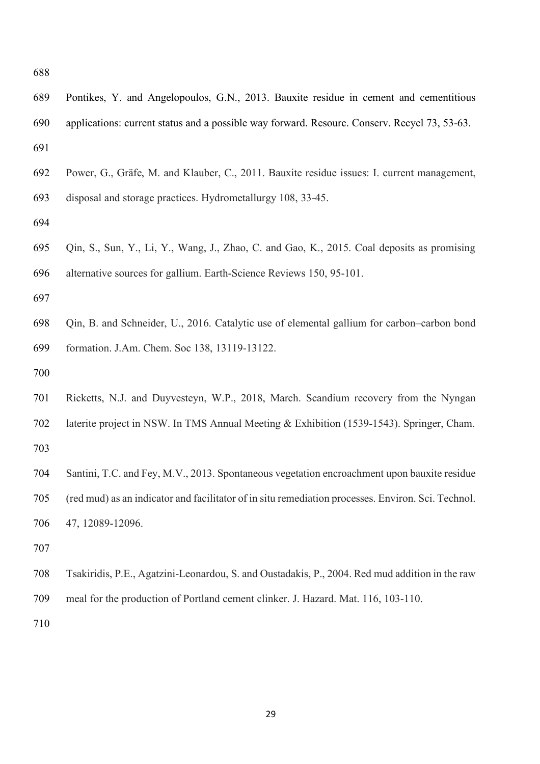| 690 | applications: current status and a possible way forward. Resourc. Conserv. Recycl 73, 53-63.       |
|-----|----------------------------------------------------------------------------------------------------|
| 691 |                                                                                                    |
| 692 | Power, G., Gräfe, M. and Klauber, C., 2011. Bauxite residue issues: I. current management,         |
| 693 | disposal and storage practices. Hydrometallurgy 108, 33-45.                                        |
| 694 |                                                                                                    |
| 695 | Qin, S., Sun, Y., Li, Y., Wang, J., Zhao, C. and Gao, K., 2015. Coal deposits as promising         |
| 696 | alternative sources for gallium. Earth-Science Reviews 150, 95-101.                                |
| 697 |                                                                                                    |
| 698 | Qin, B. and Schneider, U., 2016. Catalytic use of elemental gallium for carbon-carbon bond         |
| 699 | formation. J.Am. Chem. Soc 138, 13119-13122.                                                       |
| 700 |                                                                                                    |
| 701 | Ricketts, N.J. and Duyvesteyn, W.P., 2018, March. Scandium recovery from the Nyngan                |
| 702 | laterite project in NSW. In TMS Annual Meeting & Exhibition (1539-1543). Springer, Cham.           |
| 703 |                                                                                                    |
| 704 | Santini, T.C. and Fey, M.V., 2013. Spontaneous vegetation encroachment upon bauxite residue        |
| 705 | (red mud) as an indicator and facilitator of in situ remediation processes. Environ. Sci. Technol. |
| 706 | 47, 12089-12096.                                                                                   |
| 707 |                                                                                                    |
| 708 | Tsakiridis, P.E., Agatzini-Leonardou, S. and Oustadakis, P., 2004. Red mud addition in the raw     |
| 709 | meal for the production of Portland cement clinker. J. Hazard. Mat. 116, 103-110.                  |
| 710 |                                                                                                    |
|     |                                                                                                    |
|     |                                                                                                    |

Pontikes, Y. and Angelopoulos, G.N., 2013. Bauxite residue in cement and cementitious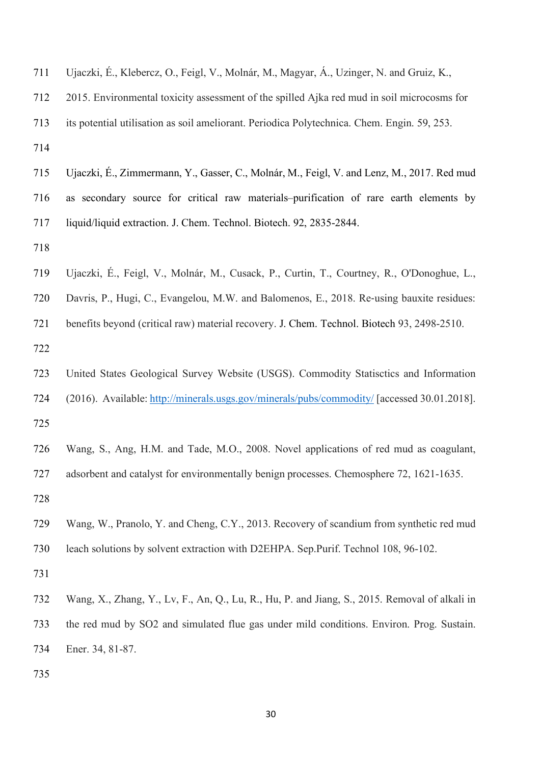| 711 | Ujaczki, É., Klebercz, O., Feigl, V., Molnár, M., Magyar, Á., Uzinger, N. and Gruiz, K.,      |
|-----|-----------------------------------------------------------------------------------------------|
| 712 | 2015. Environmental toxicity assessment of the spilled Ajka red mud in soil microcosms for    |
| 713 | its potential utilisation as soil ameliorant. Periodica Polytechnica. Chem. Engin. 59, 253.   |
| 714 |                                                                                               |
| 715 | Ujaczki, É., Zimmermann, Y., Gasser, C., Molnár, M., Feigl, V. and Lenz, M., 2017. Red mud    |
| 716 | as secondary source for critical raw materials-purification of rare earth elements by         |
| 717 | liquid/liquid extraction. J. Chem. Technol. Biotech. 92, 2835-2844.                           |
| 718 |                                                                                               |
| 719 | Ujaczki, É., Feigl, V., Molnár, M., Cusack, P., Curtin, T., Courtney, R., O'Donoghue, L.,     |
| 720 | Davris, P., Hugi, C., Evangelou, M.W. and Balomenos, E., 2018. Re-using bauxite residues:     |
| 721 | benefits beyond (critical raw) material recovery. J. Chem. Technol. Biotech 93, 2498-2510.    |
| 722 |                                                                                               |
| 723 | United States Geological Survey Website (USGS). Commodity Statisctics and Information         |
| 724 | (2016). Available: http://minerals.usgs.gov/minerals/pubs/commodity/ [accessed 30.01.2018].   |
| 725 |                                                                                               |
| 726 | Wang, S., Ang, H.M. and Tade, M.O., 2008. Novel applications of red mud as coagulant,         |
| 727 | adsorbent and catalyst for environmentally benign processes. Chemosphere 72, 1621-1635.       |
| 728 |                                                                                               |
| 729 | Wang, W., Pranolo, Y. and Cheng, C.Y., 2013. Recovery of scandium from synthetic red mud      |
| 730 | leach solutions by solvent extraction with D2EHPA. Sep.Purif. Technol 108, 96-102.            |
| 731 |                                                                                               |
| 732 | Wang, X., Zhang, Y., Lv, F., An, Q., Lu, R., Hu, P. and Jiang, S., 2015. Removal of alkali in |
| 733 | the red mud by SO2 and simulated flue gas under mild conditions. Environ. Prog. Sustain.      |
| 734 | Ener. 34, 81-87.                                                                              |
| 735 |                                                                                               |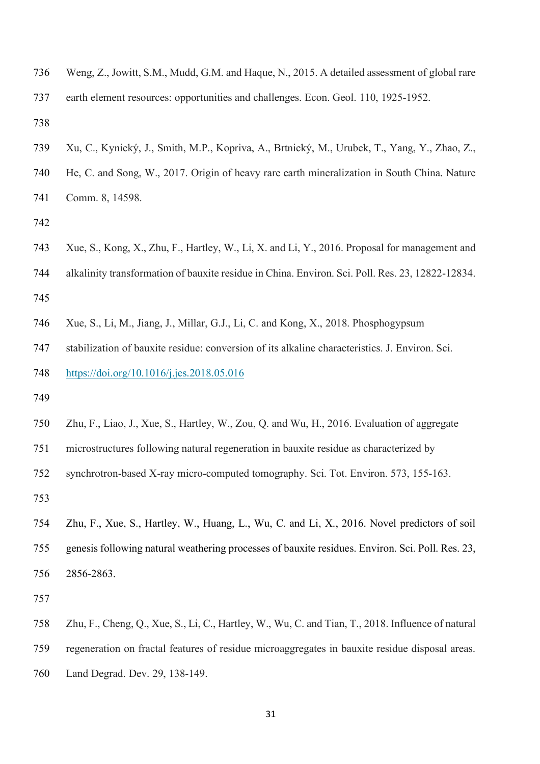Weng, Z., Jowitt, S.M., Mudd, G.M. and Haque, N., 2015. A detailed assessment of global rare earth element resources: opportunities and challenges. Econ. Geol. 110, 1925-1952.

 Xu, C., Kynický, J., Smith, M.P., Kopriva, A., Brtnický, M., Urubek, T., Yang, Y., Zhao, Z., He, C. and Song, W., 2017. Origin of heavy rare earth mineralization in South China. Nature Comm. 8, 14598.

- Xue, S., Kong, X., Zhu, F., Hartley, W., Li, X. and Li, Y., 2016. Proposal for management and alkalinity transformation of bauxite residue in China. Environ. Sci. Poll. Res. 23, 12822-12834.
- Xue, S., Li, M., Jiang, J., Millar, G.J., Li, C. and Kong, X., 2018. Phosphogypsum

stabilization of bauxite residue: conversion of its alkaline characteristics. J. Environ. Sci.

https://doi.org/10.1016/j.jes.2018.05.016

- 
- Zhu, F., Liao, J., Xue, S., Hartley, W., Zou, Q. and Wu, H., 2016. Evaluation of aggregate
- microstructures following natural regeneration in bauxite residue as characterized by
- synchrotron-based X-ray micro-computed tomography. Sci. Tot. Environ. 573, 155-163.

 Zhu, F., Xue, S., Hartley, W., Huang, L., Wu, C. and Li, X., 2016. Novel predictors of soil genesis following natural weathering processes of bauxite residues. Environ. Sci. Poll. Res. 23, 2856-2863.

 Zhu, F., Cheng, Q., Xue, S., Li, C., Hartley, W., Wu, C. and Tian, T., 2018. Influence of natural regeneration on fractal features of residue microaggregates in bauxite residue disposal areas. Land Degrad. Dev. 29, 138-149.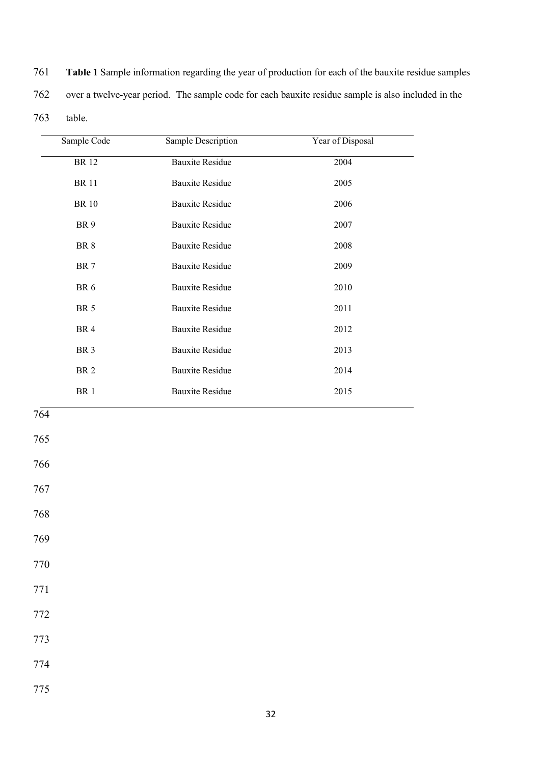| 761 | <b>Table 1</b> Sample information regarding the year of production for each of the bauxite residue samples |
|-----|------------------------------------------------------------------------------------------------------------|
| 762 | over a twelve-year period. The sample code for each bauxite residue sample is also included in the         |
| 763 | table.                                                                                                     |

| Sample Code     | Sample Description     | Year of Disposal |
|-----------------|------------------------|------------------|
| <b>BR12</b>     | <b>Bauxite Residue</b> | 2004             |
| <b>BR11</b>     | <b>Bauxite Residue</b> | 2005             |
| <b>BR10</b>     | <b>Bauxite Residue</b> | 2006             |
| BR <sub>9</sub> | <b>Bauxite Residue</b> | 2007             |
| BR <sub>8</sub> | <b>Bauxite Residue</b> | 2008             |
| BR <sub>7</sub> | <b>Bauxite Residue</b> | 2009             |
| BR <sub>6</sub> | <b>Bauxite Residue</b> | 2010             |
| <b>BR</b> 5     | <b>Bauxite Residue</b> | 2011             |
| BR <sub>4</sub> | <b>Bauxite Residue</b> | 2012             |
| BR <sub>3</sub> | <b>Bauxite Residue</b> | 2013             |
| BR <sub>2</sub> | <b>Bauxite Residue</b> | 2014             |
| BR <sub>1</sub> | <b>Bauxite Residue</b> | 2015             |

- 765
- 766
- 767
- 768
- 769
- 
- 770
- 771
- 772
- 773
- 
- 774
- 775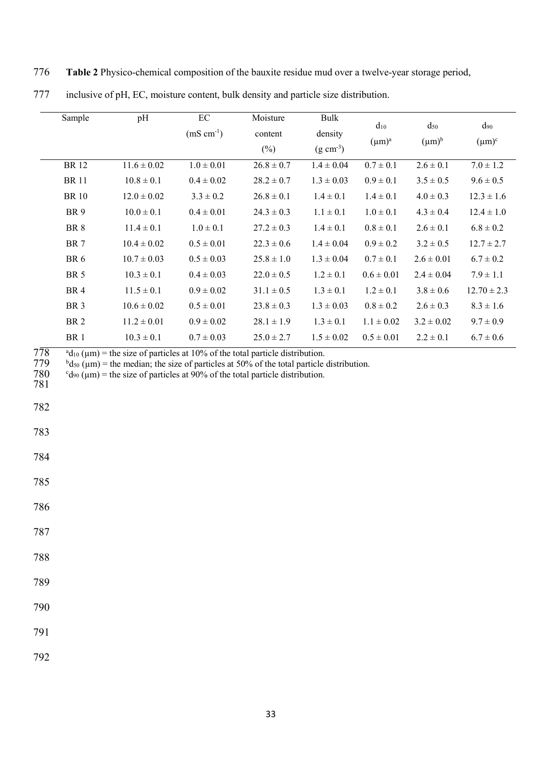776 **Table 2** Physico-chemical composition of the bauxite residue mud over a twelve-year storage period,

| Sample          | pH              | EC             | Moisture       | Bulk                  | $d_{10}$       | $d_{50}$       | $d_{90}$        |
|-----------------|-----------------|----------------|----------------|-----------------------|----------------|----------------|-----------------|
|                 |                 | $(mS cm^{-1})$ | content        | density               | $(\mu m)^a$    | $(\mu m)^b$    | $(\mu m)^c$     |
|                 |                 |                | $(\%)$         | $(g \text{ cm}^{-3})$ |                |                |                 |
| <b>BR12</b>     | $11.6 \pm 0.02$ | $1.0 \pm 0.01$ | $26.8 \pm 0.7$ | $1.4 \pm 0.04$        | $0.7 \pm 0.1$  | $2.6 \pm 0.1$  | $7.0 \pm 1.2$   |
| <b>BR</b> 11    | $10.8 \pm 0.1$  | $0.4 \pm 0.02$ | $28.2 \pm 0.7$ | $1.3 \pm 0.03$        | $0.9 \pm 0.1$  | $3.5 \pm 0.5$  | $9.6 \pm 0.5$   |
| <b>BR</b> 10    | $12.0 \pm 0.02$ | $3.3 \pm 0.2$  | $26.8 \pm 0.1$ | $1.4 \pm 0.1$         | $1.4 \pm 0.1$  | $4.0 \pm 0.3$  | $12.3 \pm 1.6$  |
| BR <sub>9</sub> | $10.0 \pm 0.1$  | $0.4 \pm 0.01$ | $24.3 \pm 0.3$ | $1.1 \pm 0.1$         | $1.0 \pm 0.1$  | $4.3 \pm 0.4$  | $12.4 \pm 1.0$  |
| BR <sub>8</sub> | $11.4 \pm 0.1$  | $1.0 \pm 0.1$  | $27.2 \pm 0.3$ | $1.4 \pm 0.1$         | $0.8 \pm 0.1$  | $2.6 \pm 0.1$  | $6.8 \pm 0.2$   |
| BR <sub>7</sub> | $10.4 \pm 0.02$ | $0.5 \pm 0.01$ | $22.3 \pm 0.6$ | $1.4 \pm 0.04$        | $0.9 \pm 0.2$  | $3.2 \pm 0.5$  | $12.7 \pm 2.7$  |
| BR <sub>6</sub> | $10.7 \pm 0.03$ | $0.5 \pm 0.03$ | $25.8 \pm 1.0$ | $1.3 \pm 0.04$        | $0.7 \pm 0.1$  | $2.6 \pm 0.01$ | $6.7 \pm 0.2$   |
| <b>BR</b> 5     | $10.3 \pm 0.1$  | $0.4 \pm 0.03$ | $22.0 \pm 0.5$ | $1.2 \pm 0.1$         | $0.6 \pm 0.01$ | $2.4 \pm 0.04$ | $7.9 \pm 1.1$   |
| BR <sub>4</sub> | $11.5 \pm 0.1$  | $0.9 \pm 0.02$ | $31.1 \pm 0.5$ | $1.3 \pm 0.1$         | $1.2 \pm 0.1$  | $3.8 \pm 0.6$  | $12.70 \pm 2.3$ |
| BR <sub>3</sub> | $10.6 \pm 0.02$ | $0.5 \pm 0.01$ | $23.8 \pm 0.3$ | $1.3 \pm 0.03$        | $0.8 \pm 0.2$  | $2.6 \pm 0.3$  | $8.3 \pm 1.6$   |
| BR <sub>2</sub> | $11.2 \pm 0.01$ | $0.9 \pm 0.02$ | $28.1 \pm 1.9$ | $1.3 \pm 0.1$         | $1.1 \pm 0.02$ | $3.2 \pm 0.02$ | $9.7 \pm 0.9$   |
| BR <sub>1</sub> | $10.3 \pm 0.1$  | $0.7 \pm 0.03$ | $25.0 \pm 2.7$ | $1.5 \pm 0.02$        | $0.5 \pm 0.01$ | $2.2 \pm 0.1$  | $6.7 \pm 0.6$   |

777 inclusive of pH, EC, moisture content, bulk density and particle size distribution.

 $778$  a  $d_{10}$  ( $\mu$ m) = the size of particles at 10% of the total particle distribution.<br>  $779$  bd<sub>50</sub> ( $\mu$ m) = the median; the size of particles at 50% of the total particle of

 $b_{\rm d50}$  (µm) = the median; the size of particles at 50% of the total particle distribution.

 $c_{d90}$  ( $\mu$ m) = the size of particles at 90% of the total particle distribution.  $\frac{780}{781}$ 

782

783

784

785

786

787

788

789

790

791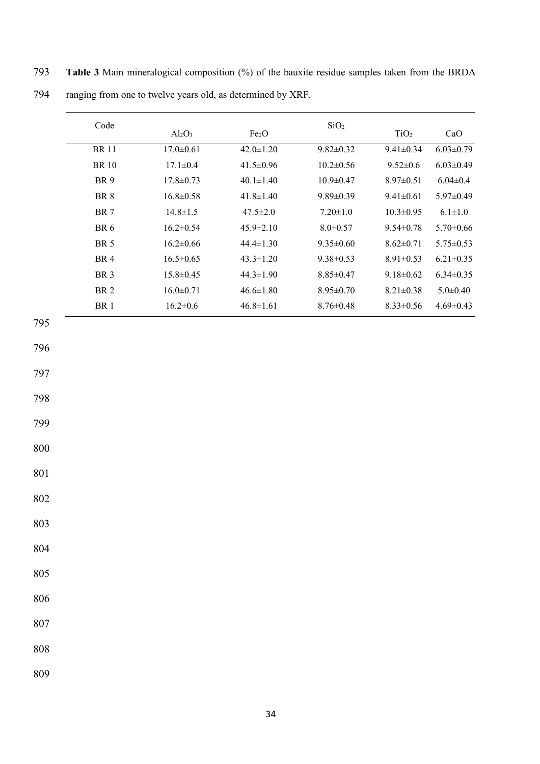|     | Code            | $Al_2O_3$       | Fe <sub>2</sub> O | SiO <sub>2</sub> | TiO <sub>2</sub> | CaO             |
|-----|-----------------|-----------------|-------------------|------------------|------------------|-----------------|
|     | <b>BR</b> 11    | $17.0 \pm 0.61$ | $42.0 \pm 1.20$   | $9.82 \pm 0.32$  | $9.41 \pm 0.34$  | $6.03 \pm 0.79$ |
|     | <b>BR</b> 10    | $17.1 \pm 0.4$  | $41.5 \pm 0.96$   | $10.2 \pm 0.56$  | $9.52 \pm 0.6$   | $6.03 \pm 0.49$ |
|     | BR 9            | $17.8 \pm 0.73$ | $40.1 \pm 1.40$   | $10.9 \pm 0.47$  | $8.97 \pm 0.51$  | $6.04 \pm 0.4$  |
|     | $\rm BR\ 8$     | $16.8 \pm 0.58$ | $41.8 \pm 1.40$   | $9.89 \pm 0.39$  | $9.41 \pm 0.61$  | $5.97 \pm 0.49$ |
|     | <b>BR</b> 7     | $14.8 \pm 1.5$  | $47.5 \pm 2.0$    | $7.20 \pm 1.0$   | $10.3 \pm 0.95$  | $6.1 \pm 1.0$   |
|     | $\rm BR$ $6$    | $16.2 \pm 0.54$ | $45.9 \pm 2.10$   | $8.0 \pm 0.57$   | $9.54 \pm 0.78$  | $5.70 \pm 0.66$ |
|     | <b>BR 5</b>     | $16.2 \pm 0.66$ | $44.4 \pm 1.30$   | $9.35 \pm 0.60$  | $8.62 \pm 0.71$  | $5.75 \pm 0.53$ |
|     | BR 4            | $16.5 \pm 0.65$ | $43.3 \pm 1.20$   | $9.38 \pm 0.53$  | $8.91 \pm 0.53$  | $6.21 \pm 0.35$ |
|     | BR <sub>3</sub> | $15.8 \pm 0.45$ | $44.3 \pm 1.90$   | $8.85 \pm 0.47$  | $9.18 \pm 0.62$  | $6.34 \pm 0.35$ |
|     | $\rm BR\ 2$     | $16.0 \pm 0.71$ | $46.6 \pm 1.80$   | $8.95 \pm 0.70$  | $8.21 \pm 0.38$  | $5.0 \pm 0.40$  |
|     | BR 1            | $16.2 \pm 0.6$  | $46.8 \pm 1.61$   | $8.76 \pm 0.48$  | $8.33 \pm 0.56$  | $4.69 \pm 0.43$ |
|     |                 |                 |                   |                  |                  |                 |
|     |                 |                 |                   |                  |                  |                 |
|     |                 |                 |                   |                  |                  |                 |
|     |                 |                 |                   |                  |                  |                 |
|     |                 |                 |                   |                  |                  |                 |
|     |                 |                 |                   |                  |                  |                 |
|     |                 |                 |                   |                  |                  |                 |
|     |                 |                 |                   |                  |                  |                 |
| 808 |                 |                 |                   |                  |                  |                 |

793 **Table 3** Main mineralogical composition (%) of the bauxite residue samples taken from the BRDA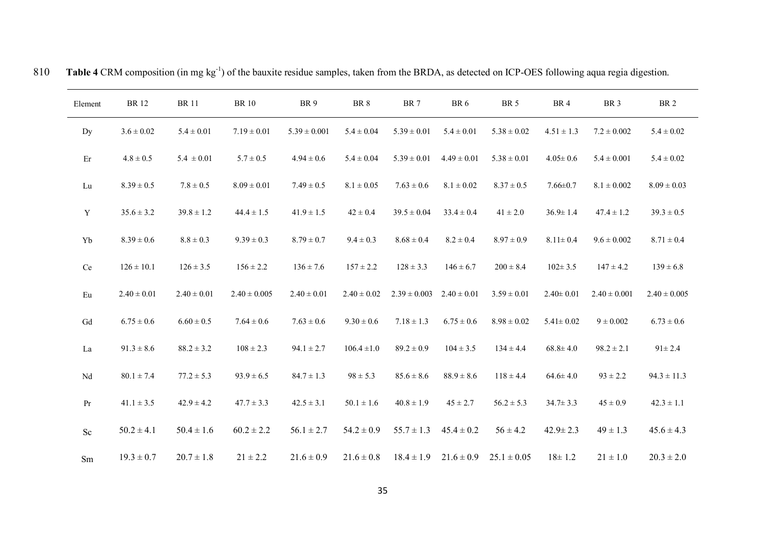| Element                         | <b>BR</b> 12    | <b>BR11</b>     | <b>BR</b> 10     | BR <sub>9</sub>  | BR 8            | BR <sub>7</sub>  | BR <sub>6</sub> | <b>BR</b> 5     | BR4             | BR <sub>3</sub>  | <b>BR2</b>       |
|---------------------------------|-----------------|-----------------|------------------|------------------|-----------------|------------------|-----------------|-----------------|-----------------|------------------|------------------|
| Dy                              | $3.6 \pm 0.02$  | $5.4 \pm 0.01$  | $7.19 \pm 0.01$  | $5.39 \pm 0.001$ | $5.4 \pm 0.04$  | $5.39 \pm 0.01$  | $5.4 \pm 0.01$  | $5.38 \pm 0.02$ | $4.51 \pm 1.3$  | $7.2 \pm 0.002$  | $5.4 \pm 0.02$   |
| Er                              | $4.8 \pm 0.5$   | $5.4 \pm 0.01$  | $5.7 \pm 0.5$    | $4.94 \pm 0.6$   | $5.4 \pm 0.04$  | $5.39 \pm 0.01$  | $4.49 \pm 0.01$ | $5.38 \pm 0.01$ | $4.05 \pm 0.6$  | $5.4 \pm 0.001$  | $5.4 \pm 0.02$   |
| ${\rm Lu}$                      | $8.39 \pm 0.5$  | $7.8 \pm 0.5$   | $8.09 \pm 0.01$  | $7.49 \pm 0.5$   | $8.1 \pm 0.05$  | $7.63 \pm 0.6$   | $8.1 \pm 0.02$  | $8.37 \pm 0.5$  | $7.66 \pm 0.7$  | $8.1 \pm 0.002$  | $8.09 \pm 0.03$  |
| Y                               | $35.6 \pm 3.2$  | $39.8 \pm 1.2$  | $44.4 \pm 1.5$   | $41.9 \pm 1.5$   | $42 \pm 0.4$    | $39.5 \pm 0.04$  | $33.4 \pm 0.4$  | $41 \pm 2.0$    | $36.9 \pm 1.4$  | $47.4 \pm 1.2$   | $39.3 \pm 0.5$   |
| Yb                              | $8.39 \pm 0.6$  | $8.8 \pm 0.3$   | $9.39 \pm 0.3$   | $8.79 \pm 0.7$   | $9.4 \pm 0.3$   | $8.68 \pm 0.4$   | $8.2 \pm 0.4$   | $8.97 \pm 0.9$  | $8.11\pm0.4$    | $9.6 \pm 0.002$  | $8.71 \pm 0.4$   |
| $\rm{Ce}$                       | $126 \pm 10.1$  | $126 \pm 3.5$   | $156 \pm 2.2$    | $136 \pm 7.6$    | $157 \pm 2.2$   | $128 \pm 3.3$    | $146 \pm 6.7$   | $200 \pm 8.4$   | $102 \pm 3.5$   | $147 \pm 4.2$    | $139 \pm 6.8$    |
| $\mathop{\mathrm{Eu}}\nolimits$ | $2.40 \pm 0.01$ | $2.40 \pm 0.01$ | $2.40 \pm 0.005$ | $2.40 \pm 0.01$  | $2.40 \pm 0.02$ | $2.39 \pm 0.003$ | $2.40 \pm 0.01$ | $3.59 \pm 0.01$ | $2.40 \pm 0.01$ | $2.40 \pm 0.001$ | $2.40 \pm 0.005$ |
| Gd                              | $6.75 \pm 0.6$  | $6.60 \pm 0.5$  | $7.64 \pm 0.6$   | $7.63 \pm 0.6$   | $9.30 \pm 0.6$  | $7.18 \pm 1.3$   | $6.75 \pm 0.6$  | $8.98 \pm 0.02$ | $5.41 \pm 0.02$ | $9 \pm 0.002$    | $6.73 \pm 0.6$   |
| La                              | $91.3 \pm 8.6$  | $88.2 \pm 3.2$  | $108 \pm 2.3$    | $94.1 \pm 2.7$   | $106.4 \pm 1.0$ | $89.2 \pm 0.9$   | $104 \pm 3.5$   | $134 \pm 4.4$   | $68.8 \pm 4.0$  | $98.2 \pm 2.1$   | $91 \pm 2.4$     |
| Nd                              | $80.1 \pm 7.4$  | $77.2 \pm 5.3$  | $93.9 \pm 6.5$   | $84.7 \pm 1.3$   | $98 \pm 5.3$    | $85.6 \pm 8.6$   | $88.9 \pm 8.6$  | $118 \pm 4.4$   | $64.6 \pm 4.0$  | $93 \pm 2.2$     | $94.3 \pm 11.3$  |
| Pr                              | $41.1 \pm 3.5$  | $42.9 \pm 4.2$  | $47.7 \pm 3.3$   | $42.5 \pm 3.1$   | $50.1 \pm 1.6$  | $40.8 \pm 1.9$   | $45 \pm 2.7$    | $56.2 \pm 5.3$  | $34.7 \pm 3.3$  | $45 \pm 0.9$     | $42.3 \pm 1.1$   |
| $\rm Sc$                        | $50.2 \pm 4.1$  | $50.4 \pm 1.6$  | $60.2 \pm 2.2$   | $56.1 \pm 2.7$   | $54.2 \pm 0.9$  | $55.7 \pm 1.3$   | $45.4 \pm 0.2$  | $56 \pm 4.2$    | $42.9 \pm 2.3$  | $49 \pm 1.3$     | $45.6 \pm 4.3$   |
| Sm                              | $19.3 \pm 0.7$  | $20.7 \pm 1.8$  | $21 \pm 2.2$     | $21.6 \pm 0.9$   | $21.6 \pm 0.8$  | $18.4 \pm 1.9$   | $21.6 \pm 0.9$  | $25.1 \pm 0.05$ | $18 \pm 1.2$    | $21 \pm 1.0$     | $20.3 \pm 2.0$   |

810 Table 4 CRM composition (in mg kg<sup>-1</sup>) of the bauxite residue samples, taken from the BRDA, as detected on ICP-OES following aqua regia digestion.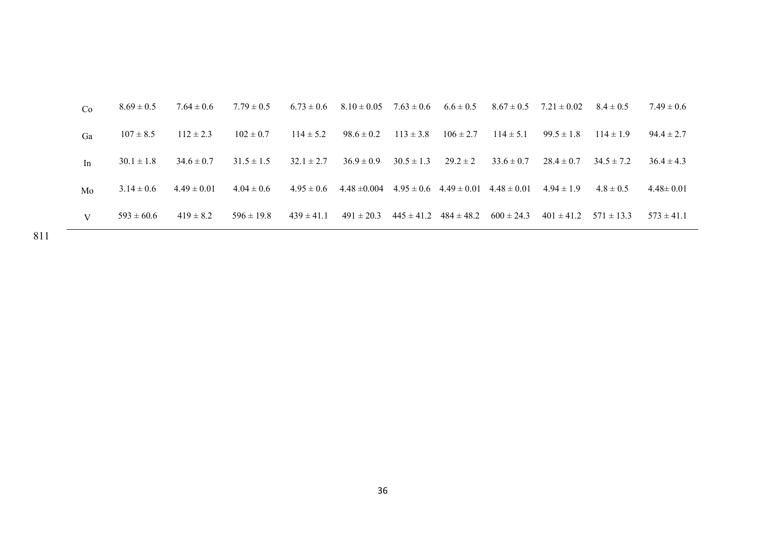| Ga | $107 \pm 8.5$  | $112 \pm 2.3$   | $102 \pm 0.7$  | $114 \pm 5.2$  | $98.6 \pm 0.2$   | $113 \pm 3.8$  | $106 \pm 2.7$                                  | $114 \pm 5.1$  | $99.5 \pm 1.8$ | $114 \pm 1.9$  | $94.4 \pm 2.7$  |
|----|----------------|-----------------|----------------|----------------|------------------|----------------|------------------------------------------------|----------------|----------------|----------------|-----------------|
| In | $30.1 \pm 1.8$ | $34.6 \pm 0.7$  | $31.5 \pm 1.5$ | $32.1 \pm 2.7$ | $36.9 \pm 0.9$   | $30.5 \pm 1.3$ | $29.2 \pm 2$                                   | $33.6 \pm 0.7$ | $28.4 \pm 0.7$ | $34.5 \pm 7.2$ | $36.4 \pm 4.3$  |
| Mo | $3.14 \pm 0.6$ | $4.49 \pm 0.01$ | $4.04 \pm 0.6$ | $4.95 \pm 0.6$ | $4.48 \pm 0.004$ |                | $4.95 \pm 0.6$ $4.49 \pm 0.01$ $4.48 \pm 0.01$ |                | $4.94 \pm 1.9$ | $4.8 \pm 0.5$  | $4.48 \pm 0.01$ |
| V  | $593 \pm 60.6$ | $419 \pm 8.2$   | $596 \pm 19.8$ | $439 \pm 41.1$ | $491 \pm 20.3$   |                | $445 \pm 41.2$ $484 \pm 48.2$                  | $600 \pm 24.3$ | $401 \pm 41.2$ | $571 \pm 13.3$ | $573 \pm 41.1$  |

811 –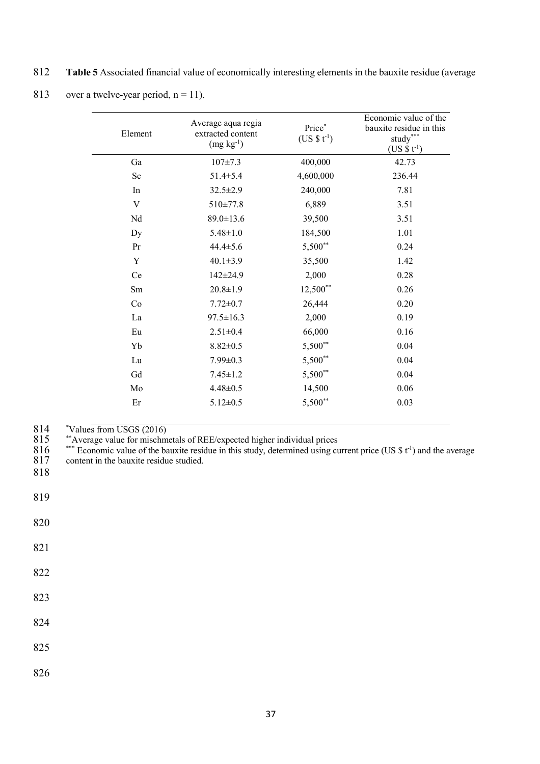812 **Table 5** Associated financial value of economically interesting elements in the bauxite residue (average

<sup>813</sup> over a twelve-year period,  $n = 11$ .

| Element | Average aqua regia<br>extracted content<br>$(mg kg-1)$ | Price*<br>$(US $ t-1)$ | Economic value of the<br>bauxite residue in this<br>$\tt study***$<br>$(US $ t-1)$ |
|---------|--------------------------------------------------------|------------------------|------------------------------------------------------------------------------------|
| Ga      | $107 \pm 7.3$                                          | 400,000                | 42.73                                                                              |
| Sc      | $51.4 \pm 5.4$                                         | 4,600,000              | 236.44                                                                             |
| In      | $32.5 \pm 2.9$                                         | 240,000                | 7.81                                                                               |
| V       | $510 \pm 77.8$                                         | 6,889                  | 3.51                                                                               |
| Nd      | $89.0 \pm 13.6$                                        | 39,500                 | 3.51                                                                               |
| Dy      | $5.48 \pm 1.0$                                         | 184,500                | 1.01                                                                               |
| Pr      | $44.4 \pm 5.6$                                         | 5,500**                | 0.24                                                                               |
| Y       | $40.1 \pm 3.9$                                         | 35,500                 | 1.42                                                                               |
| Ce      | 142±24.9                                               | 2,000                  | 0.28                                                                               |
| Sm      | $20.8 \pm 1.9$                                         | $12,500**$             | 0.26                                                                               |
| Co      | $7.72 \pm 0.7$                                         | 26,444                 | 0.20                                                                               |
| La      | $97.5 \pm 16.3$                                        | 2,000                  | 0.19                                                                               |
| Eu      | $2.51 \pm 0.4$                                         | 66,000                 | 0.16                                                                               |
| Yb      | $8.82 \pm 0.5$                                         | 5,500**                | 0.04                                                                               |
| Lu      | $7.99 \pm 0.3$                                         | 5,500**                | 0.04                                                                               |
| Gd      | $7.45 \pm 1.2$                                         | $5,500**$              | 0.04                                                                               |
| Mo      | $4.48 \pm 0.5$                                         | 14,500                 | 0.06                                                                               |
| Er      | $5.12 \pm 0.5$                                         | 5,500**                | 0.03                                                                               |

 $814 \over 815$ Values from USGS (2016)

815 \*\*Average value for mischmetals of REE/expected higher individual prices

 $816$  \*\*\* Economic value of the bauxite residue in this study, determined using current price (US \$ t<sup>-1</sup>) and the average 816 <sup>\*\*\*</sup> Economic value of the bauxite residue studied.<br>817 content in the bauxite residue studied.

818

819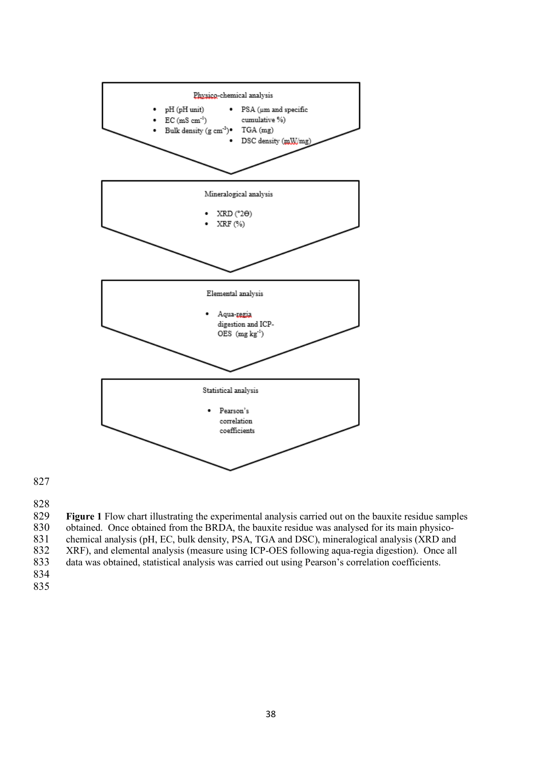

 **Figure 1** Flow chart illustrating the experimental analysis carried out on the bauxite residue samples 830 obtained. Once obtained from the BRDA, the bauxite residue was analysed for its main physico-<br>831 obtained analysis (pH, EC, bulk density, PSA, TGA and DSC), mineralogical analysis (XRD and chemical analysis (pH, EC, bulk density, PSA, TGA and DSC), mineralogical analysis (XRD and 832 XRF), and elemental analysis (measure using ICP-OES following aqua-regia digestion). Once all data was obtained, statistical analysis was carried out using Pearson's correlation coefficients. data was obtained, statistical analysis was carried out using Pearson's correlation coefficients.